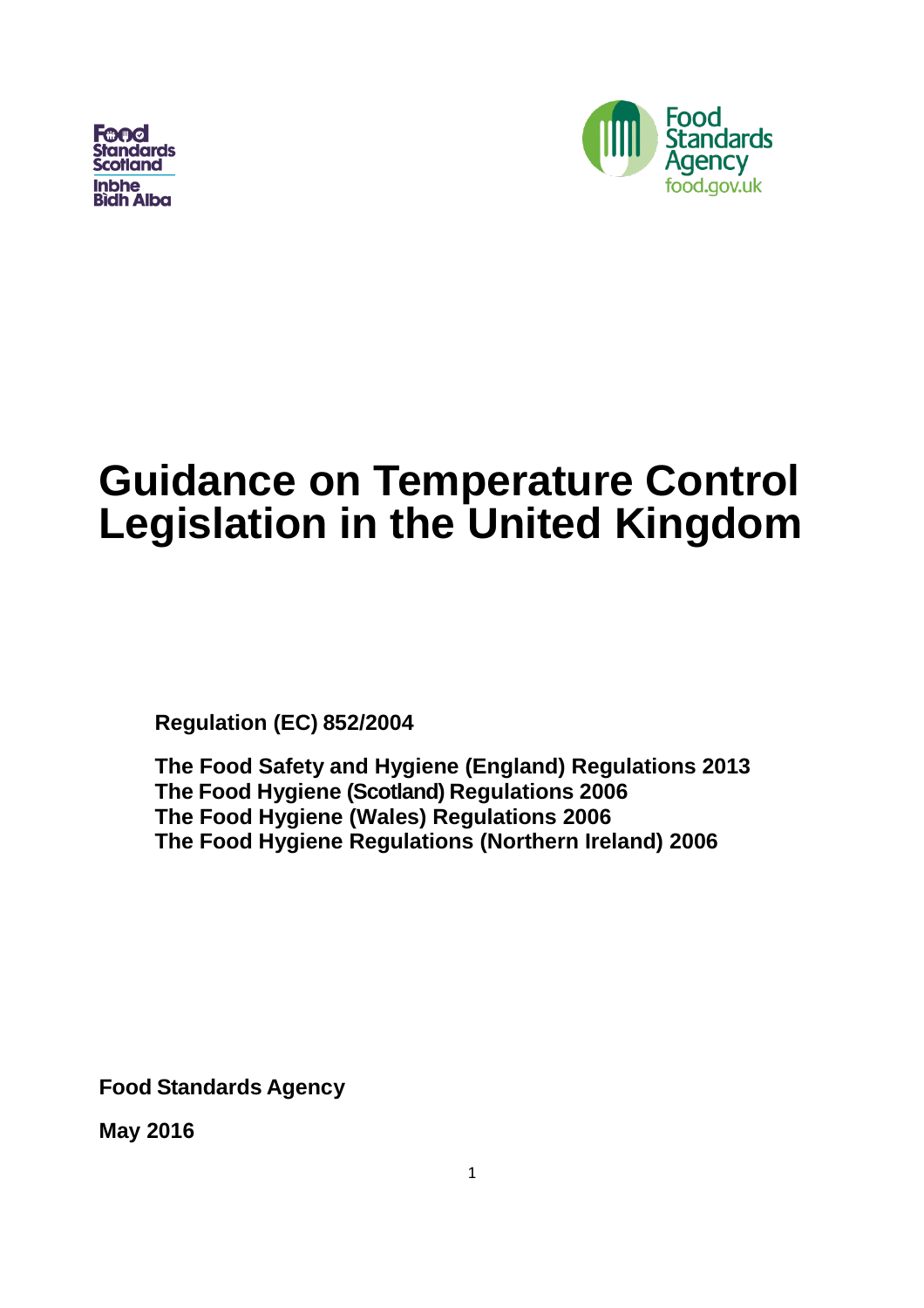**Fand Standards Bidh Alba** 



# **Guidance on Temperature Control Legislation in the United Kingdom**

**Regulation (EC) 852/2004**

**The Food Safety and Hygiene (England) Regulations 2013 The Food Hygiene (Scotland) Regulations 2006 The Food Hygiene (Wales) Regulations 2006 The Food Hygiene Regulations (Northern Ireland) 2006**

**Food Standards Agency**

**May 2016**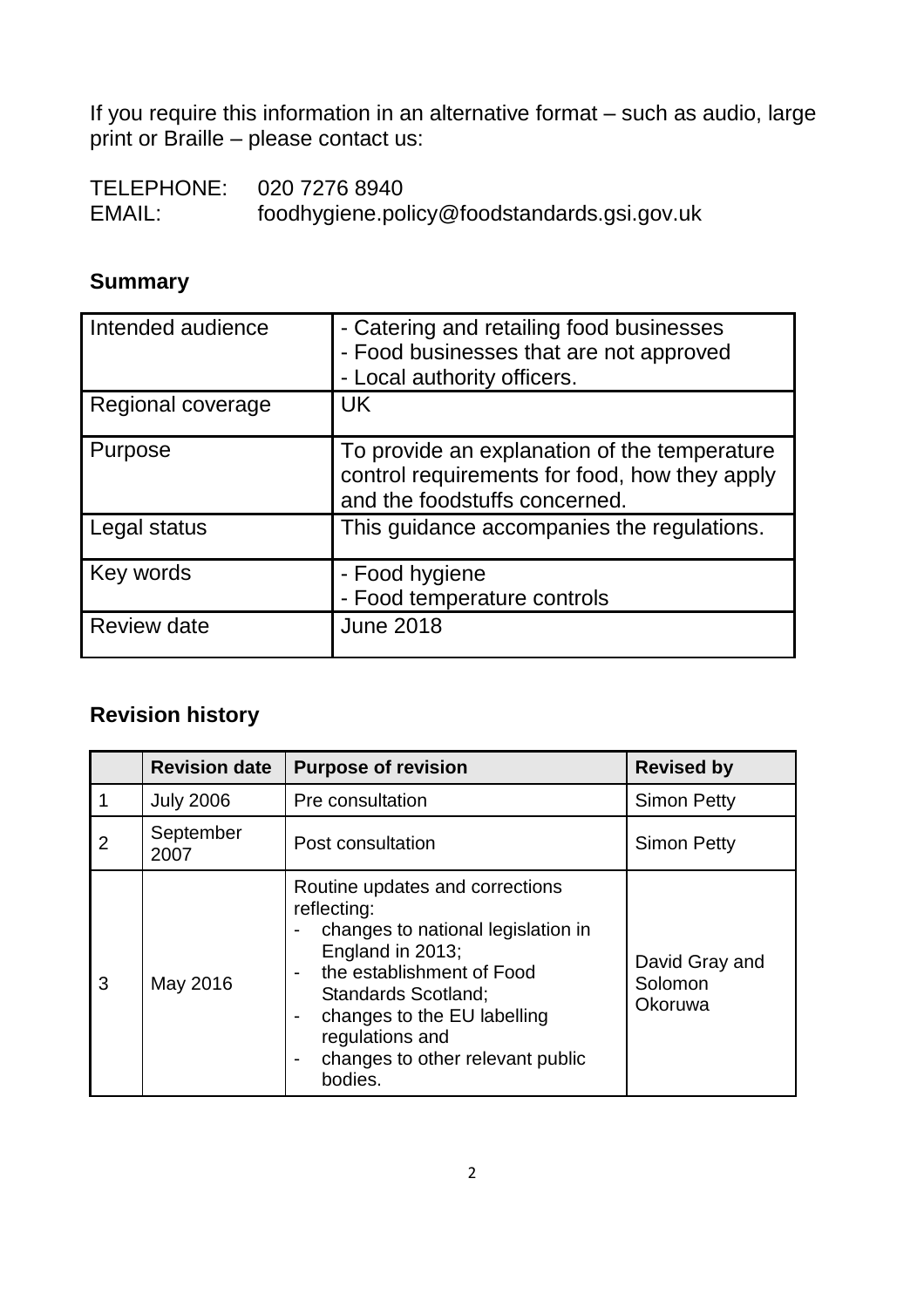If you require this information in an alternative format – such as audio, large print or Braille – please contact us:

TELEPHONE: 020 7276 8940<br>EMAIL: foodhygiene.po foodhygiene.policy@foodstandards.gsi.gov.uk

# **Summary**

| Intended audience  | - Catering and retailing food businesses<br>- Food businesses that are not approved<br>- Local authority officers.             |
|--------------------|--------------------------------------------------------------------------------------------------------------------------------|
| Regional coverage  | <b>UK</b>                                                                                                                      |
| Purpose            | To provide an explanation of the temperature<br>control requirements for food, how they apply<br>and the foodstuffs concerned. |
| Legal status       | This guidance accompanies the regulations.                                                                                     |
| Key words          | - Food hygiene<br>- Food temperature controls                                                                                  |
| <b>Review date</b> | <b>June 2018</b>                                                                                                               |

# **Revision history**

|                | <b>Revision date</b> | <b>Purpose of revision</b>                                                                                                                                                                                                                                                                       | <b>Revised by</b>                    |
|----------------|----------------------|--------------------------------------------------------------------------------------------------------------------------------------------------------------------------------------------------------------------------------------------------------------------------------------------------|--------------------------------------|
|                | <b>July 2006</b>     | Pre consultation                                                                                                                                                                                                                                                                                 | <b>Simon Petty</b>                   |
| $\overline{2}$ | September<br>2007    | Post consultation                                                                                                                                                                                                                                                                                | <b>Simon Petty</b>                   |
| 3              | May 2016             | Routine updates and corrections<br>reflecting:<br>changes to national legislation in<br>England in 2013;<br>the establishment of Food<br><b>Standards Scotland:</b><br>changes to the EU labelling<br>$\overline{\phantom{a}}$<br>regulations and<br>changes to other relevant public<br>bodies. | David Gray and<br>Solomon<br>Okoruwa |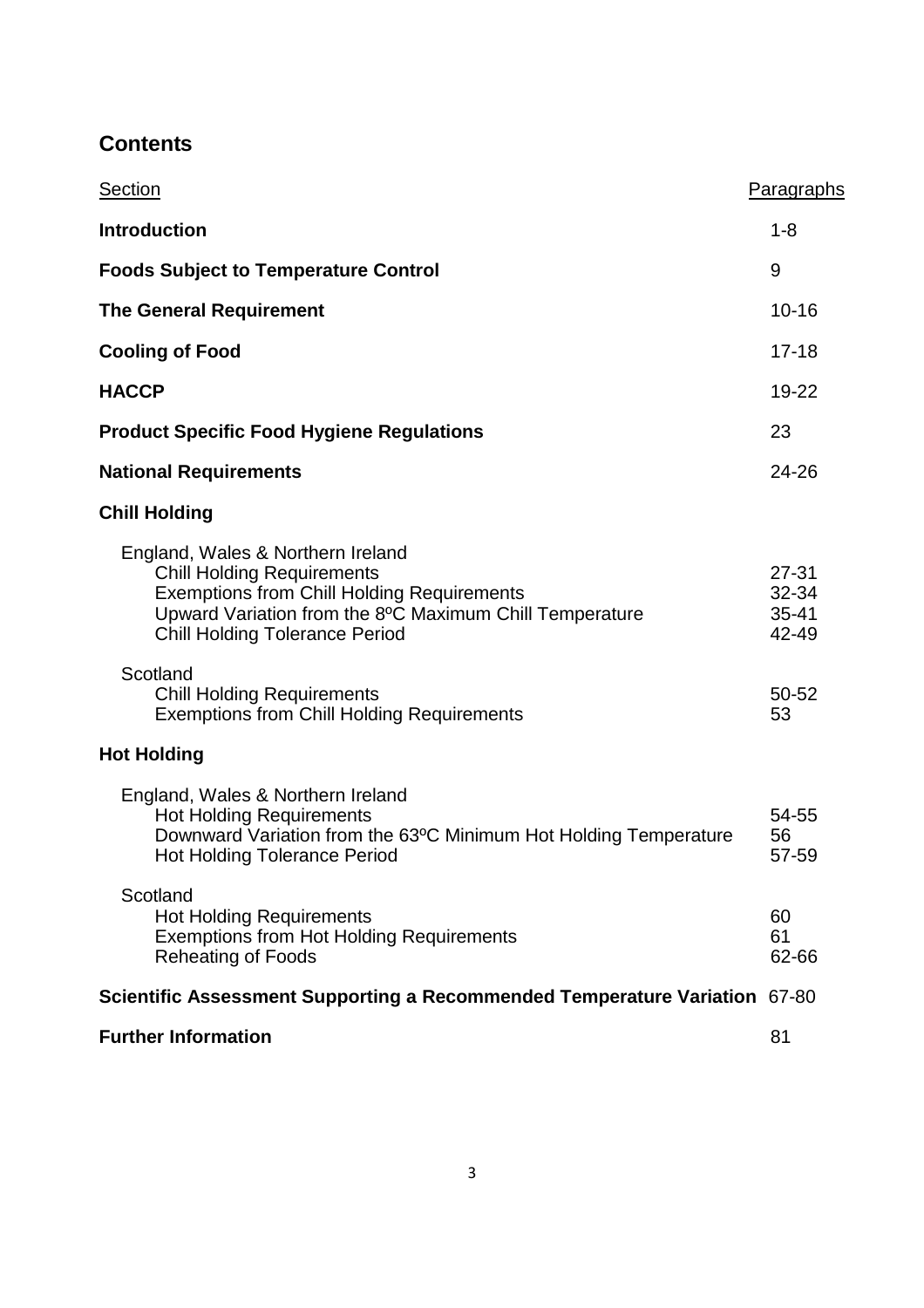# **Contents**

| Section                                                                                                                                                                                                                         | Paragraphs                               |  |
|---------------------------------------------------------------------------------------------------------------------------------------------------------------------------------------------------------------------------------|------------------------------------------|--|
| <b>Introduction</b>                                                                                                                                                                                                             | $1 - 8$                                  |  |
| <b>Foods Subject to Temperature Control</b>                                                                                                                                                                                     |                                          |  |
| <b>The General Requirement</b>                                                                                                                                                                                                  |                                          |  |
| <b>Cooling of Food</b>                                                                                                                                                                                                          |                                          |  |
| <b>HACCP</b>                                                                                                                                                                                                                    |                                          |  |
| <b>Product Specific Food Hygiene Regulations</b>                                                                                                                                                                                |                                          |  |
| <b>National Requirements</b>                                                                                                                                                                                                    |                                          |  |
| <b>Chill Holding</b>                                                                                                                                                                                                            |                                          |  |
| England, Wales & Northern Ireland<br><b>Chill Holding Requirements</b><br><b>Exemptions from Chill Holding Requirements</b><br>Upward Variation from the 8°C Maximum Chill Temperature<br><b>Chill Holding Tolerance Period</b> | $27 - 31$<br>32-34<br>$35 - 41$<br>42-49 |  |
| Scotland<br><b>Chill Holding Requirements</b><br><b>Exemptions from Chill Holding Requirements</b>                                                                                                                              | 50-52<br>53                              |  |
| <b>Hot Holding</b>                                                                                                                                                                                                              |                                          |  |
| England, Wales & Northern Ireland<br><b>Hot Holding Requirements</b><br>Downward Variation from the 63°C Minimum Hot Holding Temperature<br><b>Hot Holding Tolerance Period</b>                                                 | 54-55<br>56<br>57-59                     |  |
| Scotland<br><b>Hot Holding Requirements</b><br><b>Exemptions from Hot Holding Requirements</b><br><b>Reheating of Foods</b>                                                                                                     | 60<br>61<br>62-66                        |  |
| Scientific Assessment Supporting a Recommended Temperature Variation 67-80                                                                                                                                                      |                                          |  |
| <b>Further Information</b>                                                                                                                                                                                                      |                                          |  |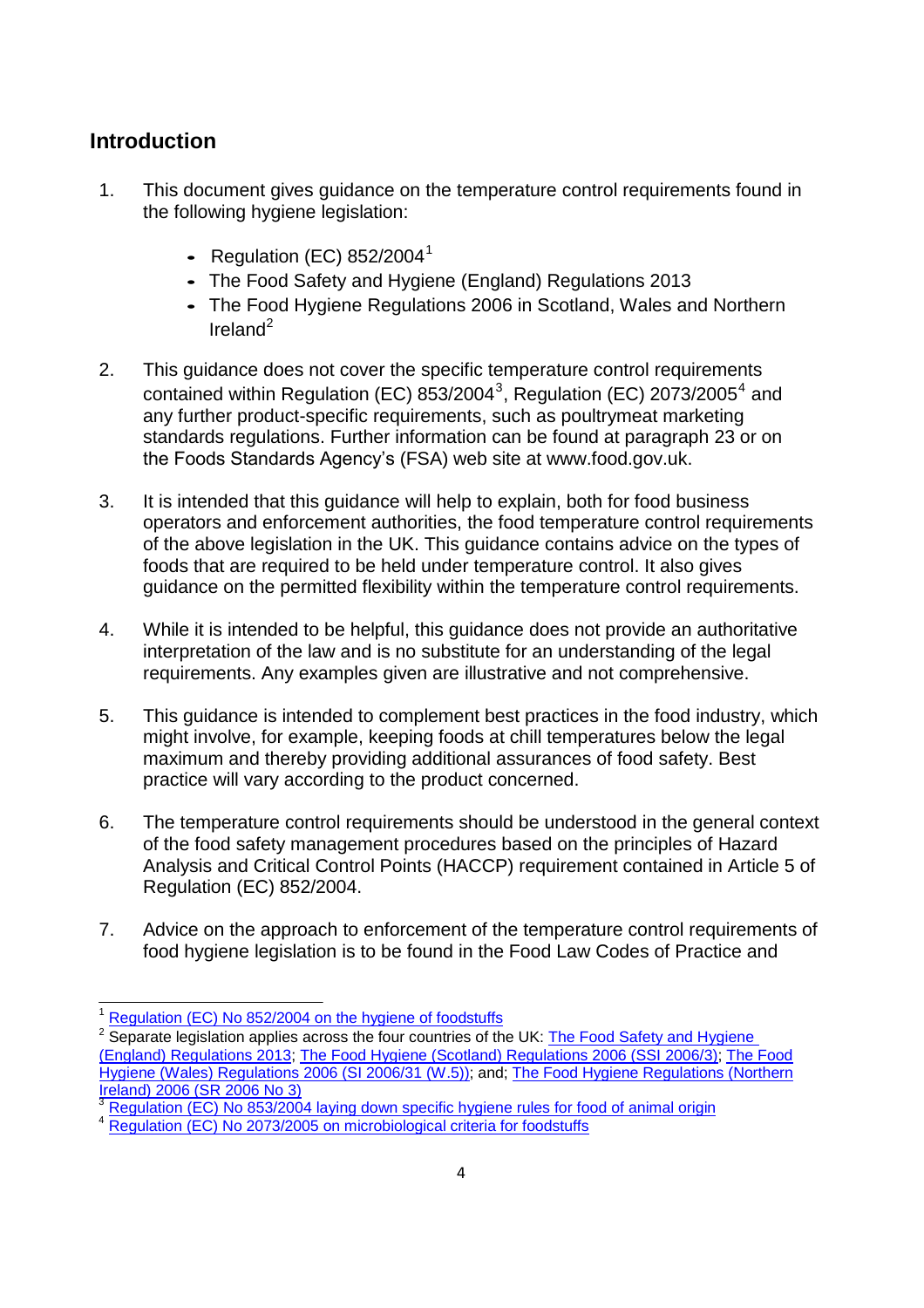# <span id="page-3-0"></span>**Introduction**

- 1. This document gives guidance on the temperature control requirements found in the following hygiene legislation:
	- **•** Regulation (EC) 852/2004 1
	- **•** The Food Safety and Hygiene (England) Regulations 2013
	- **•** The Food Hygiene Regulations 2006 in Scotland, Wales and Northern Ireland $^2$  $^2$
- 2. This guidance does not cover the specific temperature control requirements contained within Regulation (EC) 85[3](#page-3-2)/2004<sup>3</sup>, Regulation (EC) 2073/2005<sup>4</sup> and any further product-specific requirements, such as poultrymeat marketing standards regulations. Further information can be found at paragraph 23 or on the Foods Standards Agency's (FSA) web site at www.food.gov.uk.
- 3. It is intended that this guidance will help to explain, both for food business operators and enforcement authorities, the food temperature control requirements of the above legislation in the UK. This guidance contains advice on the types of foods that are required to be held under temperature control. It also gives guidance on the permitted flexibility within the temperature control requirements.
- 4. While it is intended to be helpful, this guidance does not provide an authoritative interpretation of the law and is no substitute for an understanding of the legal requirements. Any examples given are illustrative and not comprehensive.
- 5. This guidance is intended to complement best practices in the food industry, which might involve, for example, keeping foods at chill temperatures below the legal maximum and thereby providing additional assurances of food safety. Best practice will vary according to the product concerned.
- 6. The temperature control requirements should be understood in the general context of the food safety management procedures based on the principles of Hazard Analysis and Critical Control Points (HACCP) requirement contained in Article 5 of Regulation (EC) 852/2004.
- 7. Advice on the approach to enforcement of the temperature control requirements of food hygiene legislation is to be found in the Food Law Codes of Practice and

<sup>&</sup>lt;sup>1</sup> [Regulation \(EC\) No 852/2004 on the hygiene of foodstuffs](http://www.food.gov.uk/multimedia/pdfs/hiojregulation.pdf)

<span id="page-3-1"></span><sup>&</sup>lt;sup>2</sup> Separate legislation applies across the four countries of the UK: The Food Safety and Hygiene [\(England\) Regulations 2013;](http://www.legislation.gov.uk/uksi/2013/2996/made/data.pdf) The Food Hygiene (Scotland) [Regulations](http://www.opsi.gov.uk/legislation/scotland/ssi2006/ssi_20060003_en.pdf) 2006 (SSI 2006/3); The [Food](http://www.opsi.gov.uk/legislation/wales/wsi2006/wsi_20060031_mi.pdf) Hygiene (Wales) [Regulations](http://www.opsi.gov.uk/legislation/wales/wsi2006/wsi_20060031_mi.pdf) 2006 (SI 2006/31 (W.5)); and; [The Food Hygiene Regulations \(Northern](http://www.opsi.gov.uk/sr/sr2006/nisr_20060003_en.pdf) [Ireland\)](http://www.opsi.gov.uk/sr/sr2006/nisr_20060003_en.pdf) 2006 (SR 2006 No 3)

<span id="page-3-2"></span>[Regulation](http://www.food.gov.uk/multimedia/pdfs/h2ojregulation.pdf) (EC) No 853/2004 laying down specific hygiene rules for food of animal origin

[Regulation \(EC\) No 2073/2005 on](http://www.food.gov.uk/multimedia/pdfs/microbiolcriteria.pdf) microbiological criteria for foodstuffs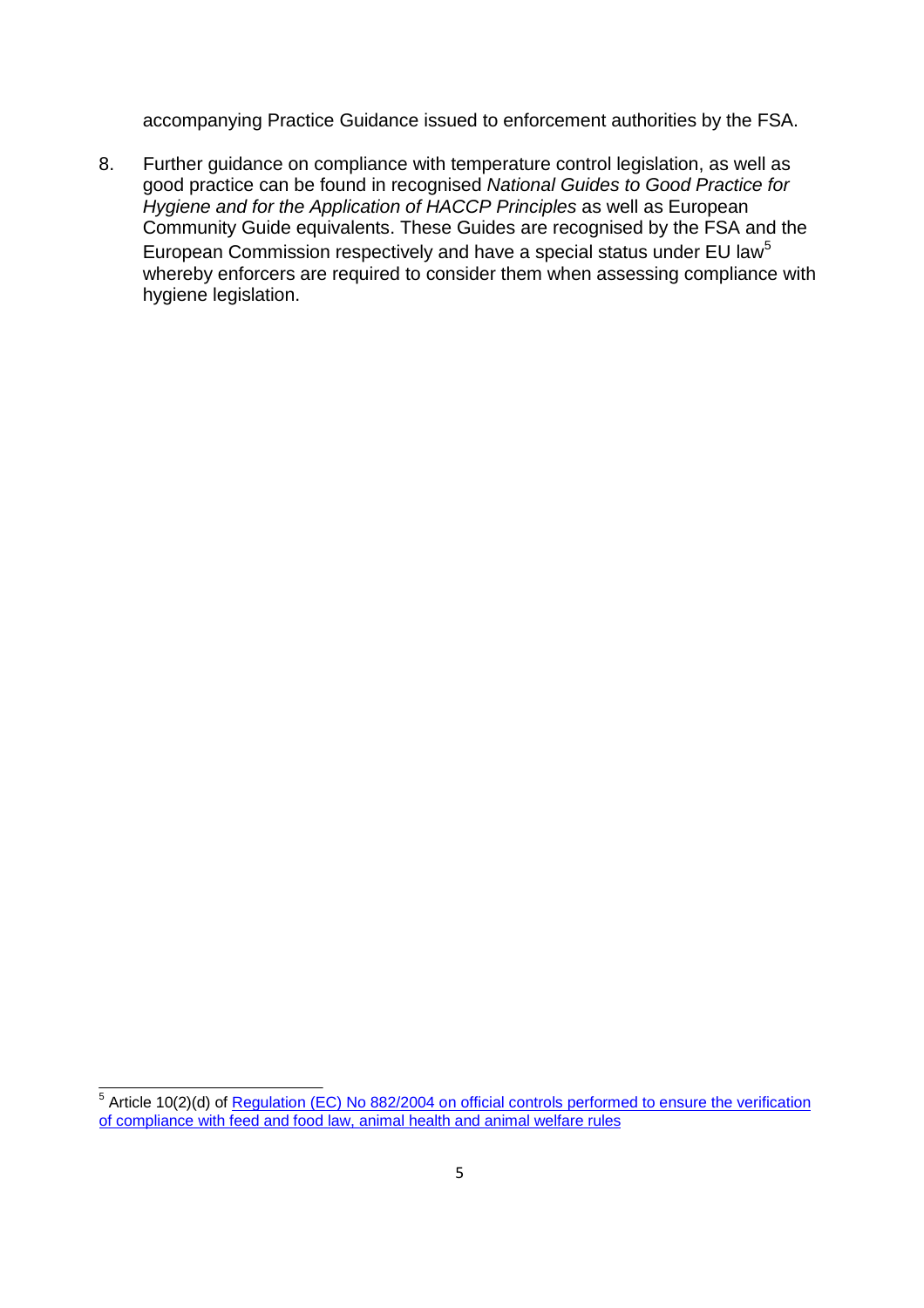accompanying Practice Guidance issued to enforcement authorities by the FSA.

8. Further guidance on compliance with temperature control legislation, as well as good practice can be found in recognised *National Guides to Good Practice for Hygiene and for the Application of HACCP Principles* as well as European Community Guide equivalents. These Guides are recognised by the FSA and the European Commission respectively and have a special status under EU law<sup>[5](#page-4-0)</sup> whereby enforcers are required to consider them when assessing compliance with hygiene legislation.

<span id="page-4-0"></span><sup>&</sup>lt;sup>5</sup> Article 10(2)(d) of <u>Regulation (EC) No 882/2004 on official [controls performed](http://europa.eu.int/eur-lex/pri/en/oj/dat/2004/l_165/l_16520040430en00010141.pdf) to ensure the verification</u> [of compliance with feed and food law, animal health](http://europa.eu.int/eur-lex/pri/en/oj/dat/2004/l_165/l_16520040430en00010141.pdf) and animal welfare rules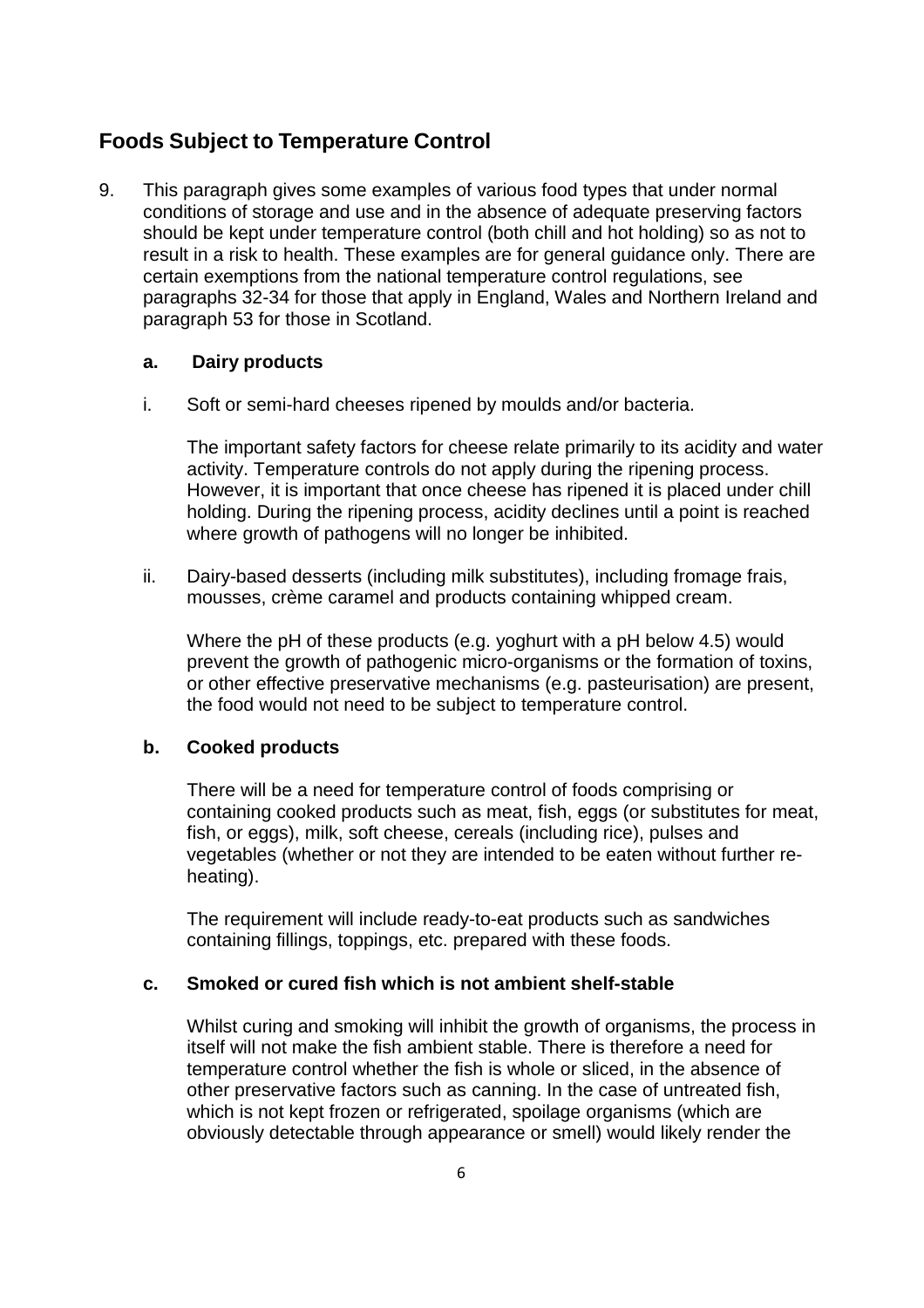# <span id="page-5-0"></span>**Foods Subject to Temperature Control**

9. This paragraph gives some examples of various food types that under normal conditions of storage and use and in the absence of adequate preserving factors should be kept under temperature control (both chill and hot holding) so as not to result in a risk to health. These examples are for general guidance only. There are certain exemptions from the national temperature control regulations, see paragraphs 32-34 for those that apply in England, Wales and Northern Ireland and paragraph 53 for those in Scotland.

#### **a. Dairy products**

i. Soft or semi-hard cheeses ripened by moulds and/or bacteria.

The important safety factors for cheese relate primarily to its acidity and water activity. Temperature controls do not apply during the ripening process. However, it is important that once cheese has ripened it is placed under chill holding. During the ripening process, acidity declines until a point is reached where growth of pathogens will no longer be inhibited.

ii. Dairy-based desserts (including milk substitutes), including fromage frais, mousses, crème caramel and products containing whipped cream.

Where the pH of these products (e.g. yoghurt with a pH below 4.5) would prevent the growth of pathogenic micro-organisms or the formation of toxins, or other effective preservative mechanisms (e.g. pasteurisation) are present, the food would not need to be subject to temperature control.

#### **b. Cooked products**

There will be a need for temperature control of foods comprising or containing cooked products such as meat, fish, eggs (or substitutes for meat, fish, or eggs), milk, soft cheese, cereals (including rice), pulses and vegetables (whether or not they are intended to be eaten without further reheating).

The requirement will include ready-to-eat products such as sandwiches containing fillings, toppings, etc. prepared with these foods.

#### **c. Smoked or cured fish which is not ambient shelf-stable**

Whilst curing and smoking will inhibit the growth of organisms, the process in itself will not make the fish ambient stable. There is therefore a need for temperature control whether the fish is whole or sliced, in the absence of other preservative factors such as canning. In the case of untreated fish, which is not kept frozen or refrigerated, spoilage organisms (which are obviously detectable through appearance or smell) would likely render the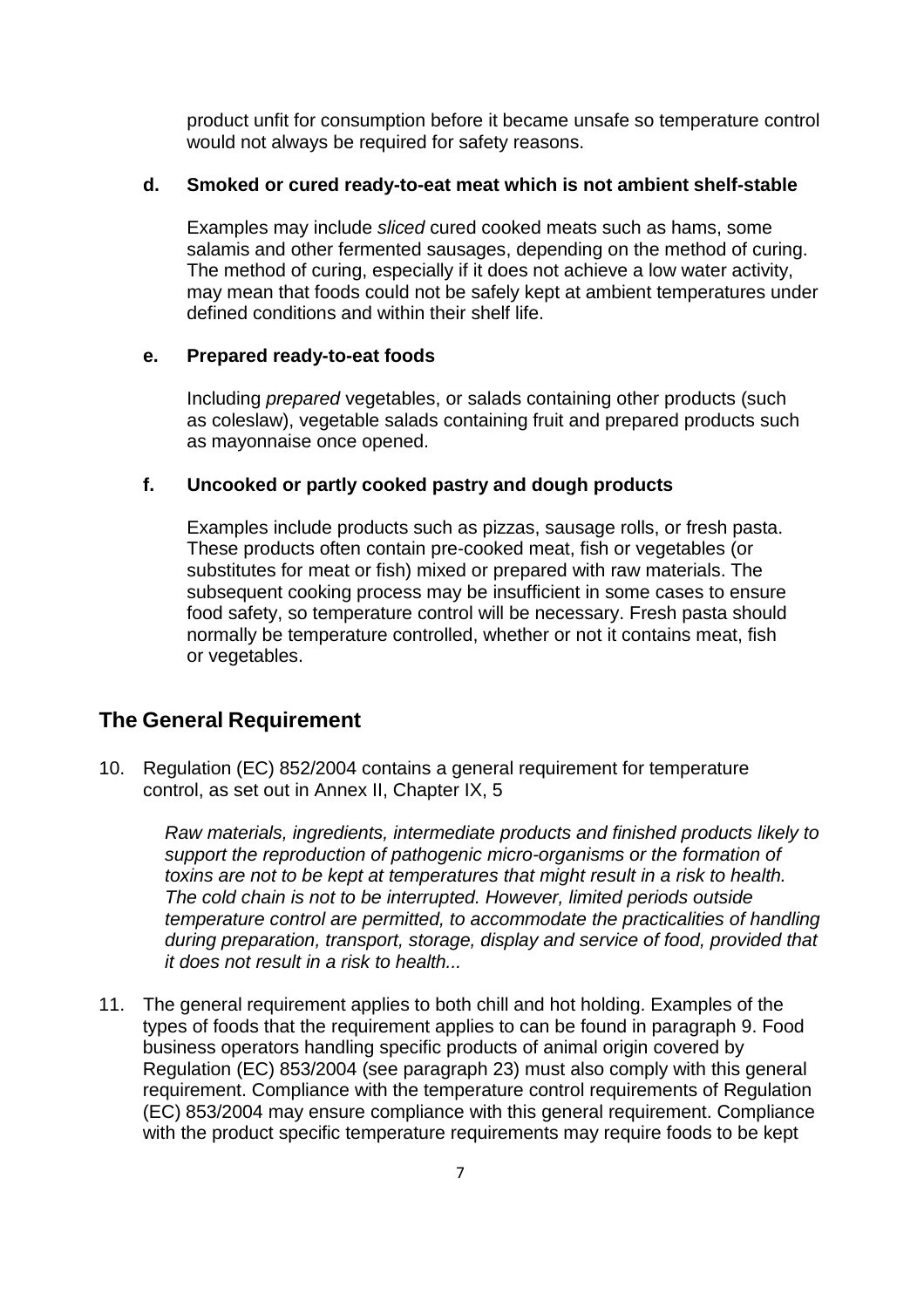product unfit for consumption before it became unsafe so temperature control would not always be required for safety reasons.

#### **d. Smoked or cured ready-to-eat meat which is not ambient shelf-stable**

Examples may include *sliced* cured cooked meats such as hams, some salamis and other fermented sausages, depending on the method of curing. The method of curing, especially if it does not achieve a low water activity, may mean that foods could not be safely kept at ambient temperatures under defined conditions and within their shelf life.

#### **e. Prepared ready-to-eat foods**

Including *prepared* vegetables, or salads containing other products (such as coleslaw), vegetable salads containing fruit and prepared products such as mayonnaise once opened.

#### **f. Uncooked or partly cooked pastry and dough products**

Examples include products such as pizzas, sausage rolls, or fresh pasta. These products often contain pre-cooked meat, fish or vegetables (or substitutes for meat or fish) mixed or prepared with raw materials. The subsequent cooking process may be insufficient in some cases to ensure food safety, so temperature control will be necessary. Fresh pasta should normally be temperature controlled, whether or not it contains meat, fish or vegetables.

## <span id="page-6-0"></span>**The General Requirement**

10. Regulation (EC) 852/2004 contains a general requirement for temperature control, as set out in Annex II, Chapter IX, 5

> *Raw materials, ingredients, intermediate products and finished products likely to support the reproduction of pathogenic micro-organisms or the formation of toxins are not to be kept at temperatures that might result in a risk to health. The cold chain is not to be interrupted. However, limited periods outside temperature control are permitted, to accommodate the practicalities of handling during preparation, transport, storage, display and service of food, provided that it does not result in a risk to health...*

11. The general requirement applies to both chill and hot holding. Examples of the types of foods that the requirement applies to can be found in paragraph 9. Food business operators handling specific products of animal origin covered by Regulation (EC) 853/2004 (see paragraph 23) must also comply with this general requirement. Compliance with the temperature control requirements of Regulation (EC) 853/2004 may ensure compliance with this general requirement. Compliance with the product specific temperature requirements may require foods to be kept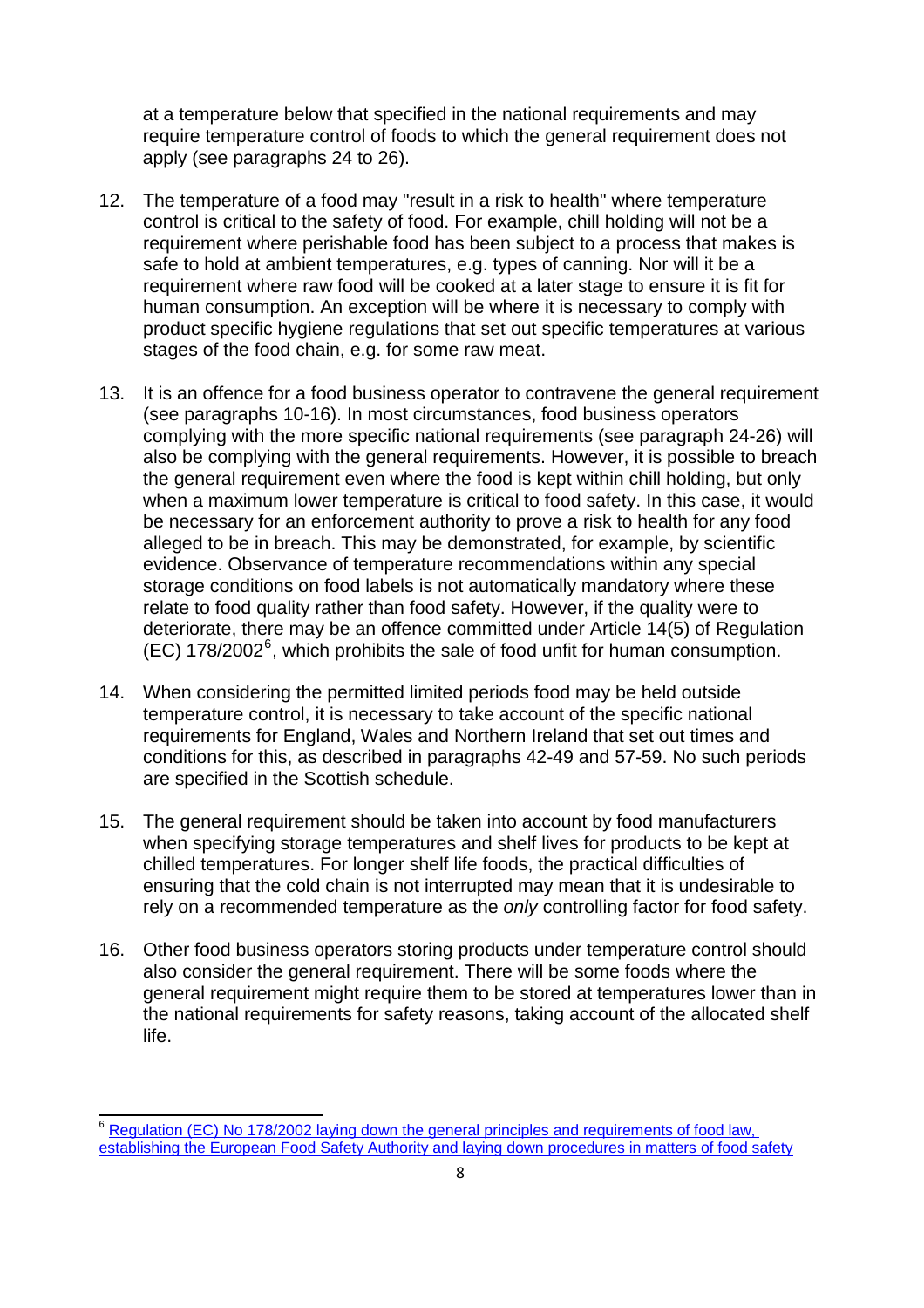at a temperature below that specified in the national requirements and may require temperature control of foods to which the general requirement does not apply (see paragraphs 24 to 26).

- 12. The temperature of a food may "result in a risk to health" where temperature control is critical to the safety of food. For example, chill holding will not be a requirement where perishable food has been subject to a process that makes is safe to hold at ambient temperatures, e.g. types of canning. Nor will it be a requirement where raw food will be cooked at a later stage to ensure it is fit for human consumption. An exception will be where it is necessary to comply with product specific hygiene regulations that set out specific temperatures at various stages of the food chain, e.g. for some raw meat.
- 13. It is an offence for a food business operator to contravene the general requirement (see paragraphs 10-16). In most circumstances, food business operators complying with the more specific national requirements (see paragraph 24-26) will also be complying with the general requirements. However, it is possible to breach the general requirement even where the food is kept within chill holding, but only when a maximum lower temperature is critical to food safety. In this case, it would be necessary for an enforcement authority to prove a risk to health for any food alleged to be in breach. This may be demonstrated, for example, by scientific evidence. Observance of temperature recommendations within any special storage conditions on food labels is not automatically mandatory where these relate to food quality rather than food safety. However, if the quality were to deteriorate, there may be an offence committed under Article 14(5) of Regulation  $(EC)$  178/2002<sup>6</sup>, which prohibits the sale of food unfit for human consumption.
- 14. When considering the permitted limited periods food may be held outside temperature control, it is necessary to take account of the specific national requirements for England, Wales and Northern Ireland that set out times and conditions for this, as described in paragraphs 42-49 and 57-59. No such periods are specified in the Scottish schedule.
- 15. The general requirement should be taken into account by food manufacturers when specifying storage temperatures and shelf lives for products to be kept at chilled temperatures. For longer shelf life foods, the practical difficulties of ensuring that the cold chain is not interrupted may mean that it is undesirable to rely on a recommended temperature as the *only* controlling factor for food safety.
- 16. Other food business operators storing products under temperature control should also consider the general requirement. There will be some foods where the general requirement might require them to be stored at temperatures lower than in the national requirements for safety reasons, taking account of the allocated shelf life.

Regulation (EC) No 178/2002 laying down the general [principles and requirements of food law,](http://europa.eu.int/eur-lex/pri/en/oj/dat/2002/l_031/l_03120020201en00010024.pdf) establishing the European Food Safety Authority and [laying down procedures in](http://europa.eu.int/eur-lex/pri/en/oj/dat/2002/l_031/l_03120020201en00010024.pdf) matters of food safety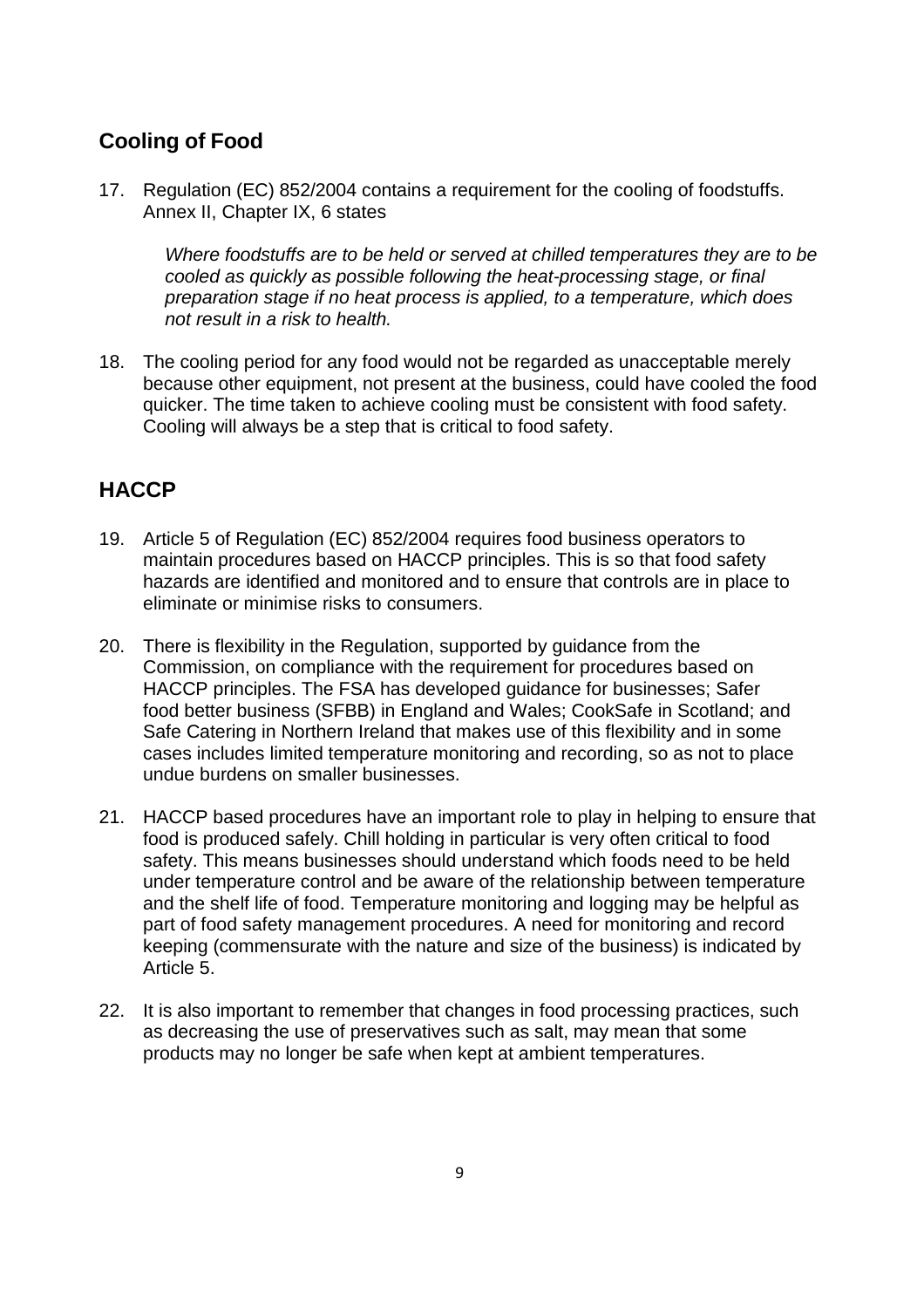# <span id="page-8-0"></span>**Cooling of Food**

17. Regulation (EC) 852/2004 contains a requirement for the cooling of foodstuffs. Annex II, Chapter IX, 6 states

*Where foodstuffs are to be held or served at chilled temperatures they are to be cooled as quickly as possible following the heat-processing stage, or final preparation stage if no heat process is applied, to a temperature, which does not result in a risk to health.*

18. The cooling period for any food would not be regarded as unacceptable merely because other equipment, not present at the business, could have cooled the food quicker. The time taken to achieve cooling must be consistent with food safety. Cooling will always be a step that is critical to food safety.

# <span id="page-8-1"></span>**HACCP**

- 19. Article 5 of Regulation (EC) 852/2004 requires food business operators to maintain procedures based on HACCP principles. This is so that food safety hazards are identified and monitored and to ensure that controls are in place to eliminate or minimise risks to consumers.
- 20. There is flexibility in the Regulation, supported by guidance from the Commission, on compliance with the requirement for procedures based on HACCP principles. The FSA has developed guidance for businesses; Safer food better business (SFBB) in England and Wales; CookSafe in Scotland; and Safe Catering in Northern Ireland that makes use of this flexibility and in some cases includes limited temperature monitoring and recording, so as not to place undue burdens on smaller businesses.
- 21. HACCP based procedures have an important role to play in helping to ensure that food is produced safely. Chill holding in particular is very often critical to food safety. This means businesses should understand which foods need to be held under temperature control and be aware of the relationship between temperature and the shelf life of food. Temperature monitoring and logging may be helpful as part of food safety management procedures. A need for monitoring and record keeping (commensurate with the nature and size of the business) is indicated by Article 5.
- 22. It is also important to remember that changes in food processing practices, such as decreasing the use of preservatives such as salt, may mean that some products may no longer be safe when kept at ambient temperatures.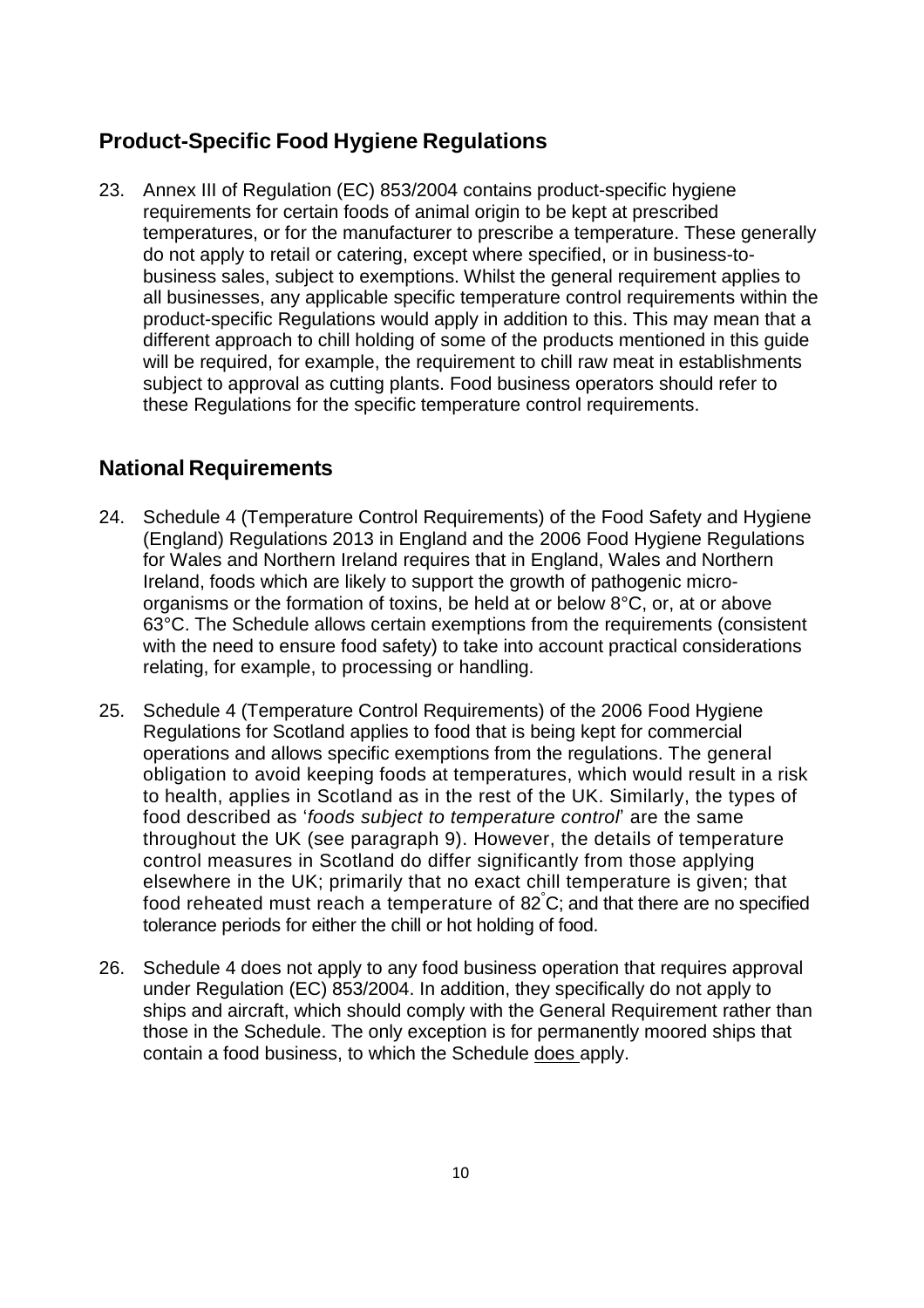# <span id="page-9-0"></span>**Product-Specific Food Hygiene Regulations**

23. Annex III of Regulation (EC) 853/2004 contains product-specific hygiene requirements for certain foods of animal origin to be kept at prescribed temperatures, or for the manufacturer to prescribe a temperature. These generally do not apply to retail or catering, except where specified, or in business-tobusiness sales, subject to exemptions. Whilst the general requirement applies to all businesses, any applicable specific temperature control requirements within the product-specific Regulations would apply in addition to this. This may mean that a different approach to chill holding of some of the products mentioned in this guide will be required, for example, the requirement to chill raw meat in establishments subject to approval as cutting plants. Food business operators should refer to these Regulations for the specific temperature control requirements.

# <span id="page-9-1"></span>**National Requirements**

- 24. Schedule 4 (Temperature Control Requirements) of the Food Safety and Hygiene (England) Regulations 2013 in England and the 2006 Food Hygiene Regulations for Wales and Northern Ireland requires that in England, Wales and Northern Ireland, foods which are likely to support the growth of pathogenic microorganisms or the formation of toxins, be held at or below 8°C, or, at or above 63°C. The Schedule allows certain exemptions from the requirements (consistent with the need to ensure food safety) to take into account practical considerations relating, for example, to processing or handling.
- 25. Schedule 4 (Temperature Control Requirements) of the 2006 Food Hygiene Regulations for Scotland applies to food that is being kept for commercial operations and allows specific exemptions from the regulations. The general obligation to avoid keeping foods at temperatures, which would result in a risk to health, applies in Scotland as in the rest of the UK. Similarly, the types of food described as '*foods subject to temperature control*' are the same throughout the UK (see paragraph 9). However, the details of temperature control measures in Scotland do differ significantly from those applying elsewhere in the UK; primarily that no exact chill temperature is given; that food reheated must reach a temperature of 82 °C; and that there are no specified tolerance periods for either the chill or hot holding of food.
- 26. Schedule 4 does not apply to any food business operation that requires approval under Regulation (EC) 853/2004. In addition, they specifically do not apply to ships and aircraft, which should comply with the General Requirement rather than those in the Schedule. The only exception is for permanently moored ships that contain a food business, to which the Schedule does apply.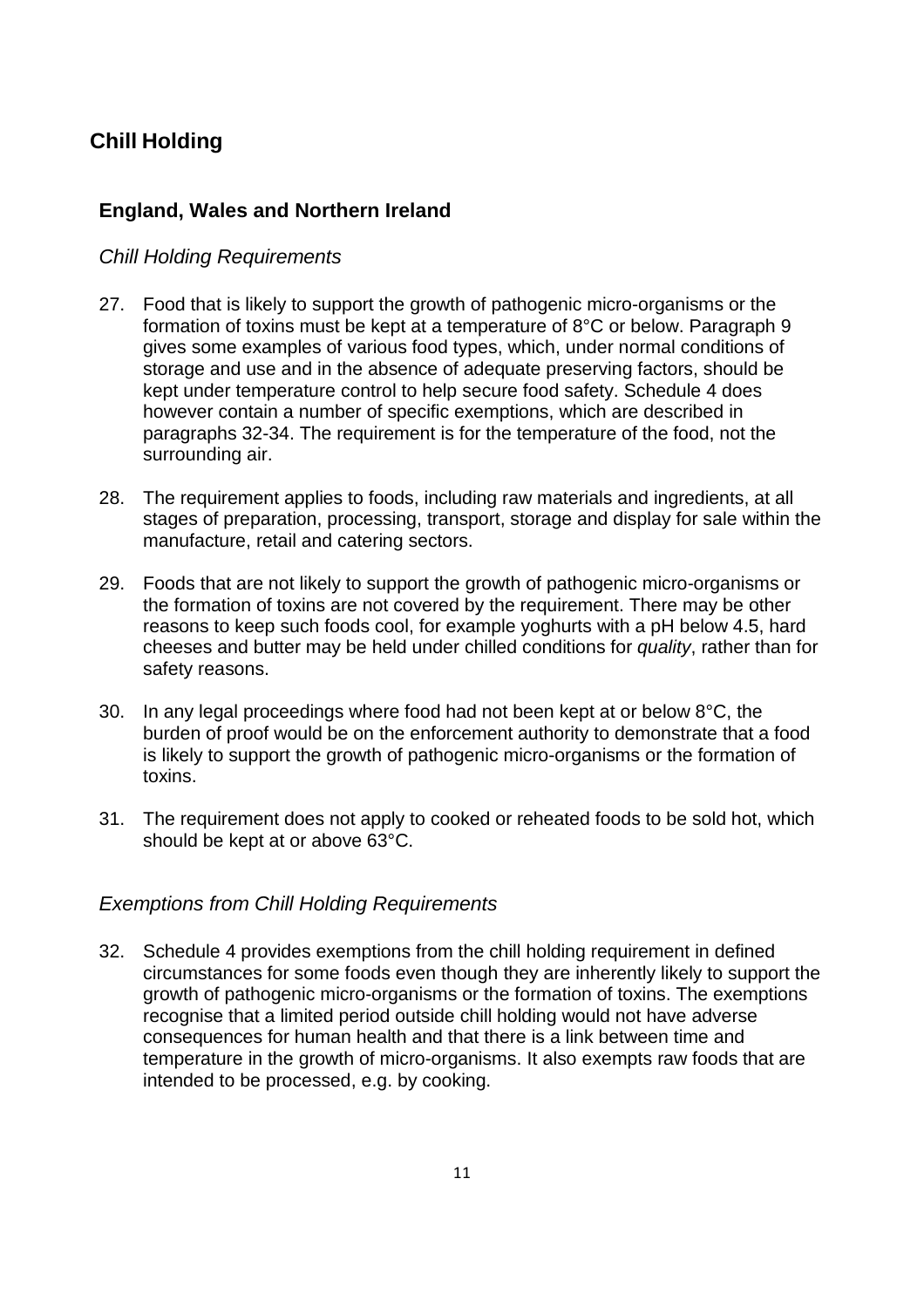# <span id="page-10-0"></span>**Chill Holding**

# **England, Wales and Northern Ireland**

## <span id="page-10-1"></span>*Chill Holding Requirements*

- 27. Food that is likely to support the growth of pathogenic micro-organisms or the formation of toxins must be kept at a temperature of 8°C or below. Paragraph 9 gives some examples of various food types, which, under normal conditions of storage and use and in the absence of adequate preserving factors, should be kept under temperature control to help secure food safety. Schedule 4 does however contain a number of specific exemptions, which are described in paragraphs 32-34. The requirement is for the temperature of the food, not the surrounding air.
- 28. The requirement applies to foods, including raw materials and ingredients, at all stages of preparation, processing, transport, storage and display for sale within the manufacture, retail and catering sectors.
- 29. Foods that are not likely to support the growth of pathogenic micro-organisms or the formation of toxins are not covered by the requirement. There may be other reasons to keep such foods cool, for example yoghurts with a pH below 4.5, hard cheeses and butter may be held under chilled conditions for *quality*, rather than for safety reasons.
- 30. In any legal proceedings where food had not been kept at or below 8°C, the burden of proof would be on the enforcement authority to demonstrate that a food is likely to support the growth of pathogenic micro-organisms or the formation of toxins.
- 31. The requirement does not apply to cooked or reheated foods to be sold hot, which should be kept at or above 63°C.

## <span id="page-10-2"></span>*Exemptions from Chill Holding Requirements*

32. Schedule 4 provides exemptions from the chill holding requirement in defined circumstances for some foods even though they are inherently likely to support the growth of pathogenic micro-organisms or the formation of toxins. The exemptions recognise that a limited period outside chill holding would not have adverse consequences for human health and that there is a link between time and temperature in the growth of micro-organisms. It also exempts raw foods that are intended to be processed, e.g. by cooking.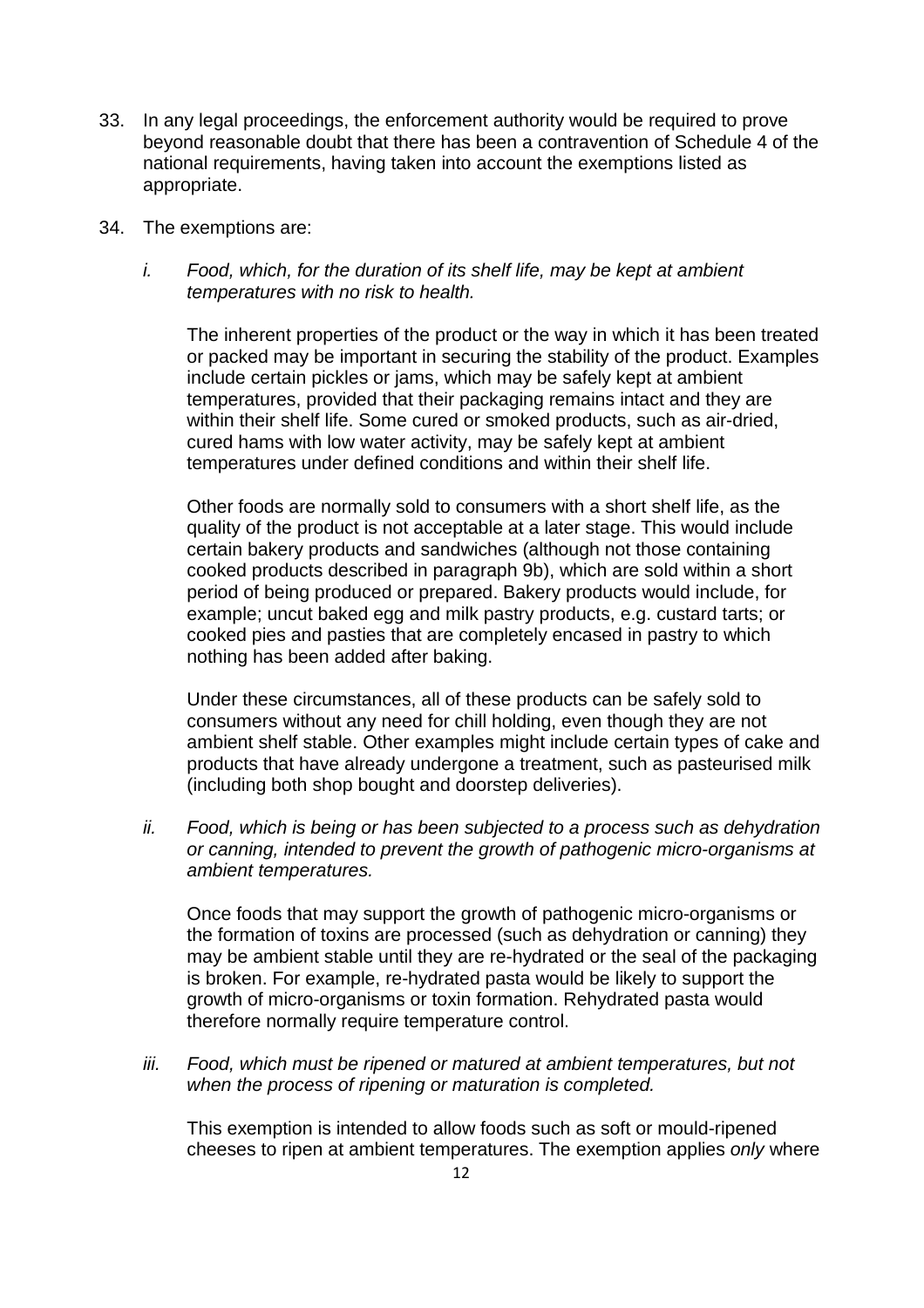- 33. In any legal proceedings, the enforcement authority would be required to prove beyond reasonable doubt that there has been a contravention of Schedule 4 of the national requirements, having taken into account the exemptions listed as appropriate.
- 34. The exemptions are:
	- *i. Food, which, for the duration of its shelf life, may be kept at ambient temperatures with no risk to health.*

The inherent properties of the product or the way in which it has been treated or packed may be important in securing the stability of the product. Examples include certain pickles or jams, which may be safely kept at ambient temperatures, provided that their packaging remains intact and they are within their shelf life. Some cured or smoked products, such as air-dried, cured hams with low water activity, may be safely kept at ambient temperatures under defined conditions and within their shelf life.

Other foods are normally sold to consumers with a short shelf life, as the quality of the product is not acceptable at a later stage. This would include certain bakery products and sandwiches (although not those containing cooked products described in paragraph 9b), which are sold within a short period of being produced or prepared. Bakery products would include, for example; uncut baked egg and milk pastry products, e.g. custard tarts; or cooked pies and pasties that are completely encased in pastry to which nothing has been added after baking.

Under these circumstances, all of these products can be safely sold to consumers without any need for chill holding, even though they are not ambient shelf stable. Other examples might include certain types of cake and products that have already undergone a treatment, such as pasteurised milk (including both shop bought and doorstep deliveries).

*ii. Food, which is being or has been subjected to a process such as dehydration or canning, intended to prevent the growth of pathogenic micro-organisms at ambient temperatures.*

Once foods that may support the growth of pathogenic micro-organisms or the formation of toxins are processed (such as dehydration or canning) they may be ambient stable until they are re-hydrated or the seal of the packaging is broken. For example, re-hydrated pasta would be likely to support the growth of micro-organisms or toxin formation. Rehydrated pasta would therefore normally require temperature control.

*iii. Food, which must be ripened or matured at ambient temperatures, but not when the process of ripening or maturation is completed.*

This exemption is intended to allow foods such as soft or mould-ripened cheeses to ripen at ambient temperatures. The exemption applies *only* where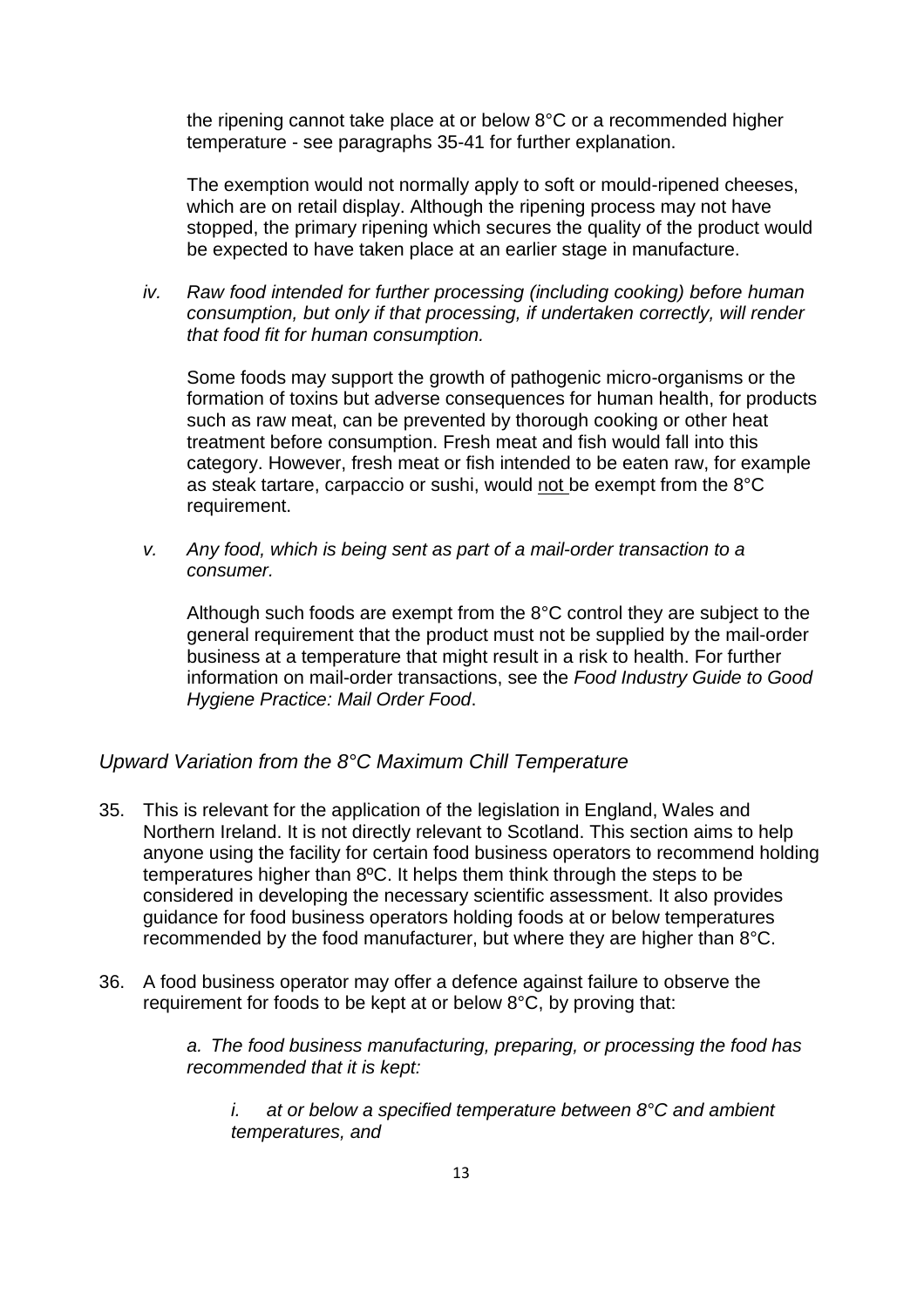the ripening cannot take place at or below 8°C or a recommended higher temperature - see paragraphs 35-41 for further explanation.

The exemption would not normally apply to soft or mould-ripened cheeses, which are on retail display. Although the ripening process may not have stopped, the primary ripening which secures the quality of the product would be expected to have taken place at an earlier stage in manufacture.

*iv. Raw food intended for further processing (including cooking) before human consumption, but only if that processing, if undertaken correctly, will render that food fit for human consumption.*

Some foods may support the growth of pathogenic micro-organisms or the formation of toxins but adverse consequences for human health, for products such as raw meat, can be prevented by thorough cooking or other heat treatment before consumption. Fresh meat and fish would fall into this category. However, fresh meat or fish intended to be eaten raw, for example as steak tartare, carpaccio or sushi, would not be exempt from the 8°C requirement.

*v. Any food, which is being sent as part of a mail-order transaction to a consumer.*

Although such foods are exempt from the 8°C control they are subject to the general requirement that the product must not be supplied by the mail-order business at a temperature that might result in a risk to health. For further information on mail-order transactions, see the *Food Industry Guide to Good Hygiene Practice: Mail Order Food*.

#### <span id="page-12-0"></span>*Upward Variation from the 8°C Maximum Chill Temperature*

- 35. This is relevant for the application of the legislation in England, Wales and Northern Ireland. It is not directly relevant to Scotland. This section aims to help anyone using the facility for certain food business operators to recommend holding temperatures higher than 8ºC. It helps them think through the steps to be considered in developing the necessary scientific assessment. It also provides guidance for food business operators holding foods at or below temperatures recommended by the food manufacturer, but where they are higher than 8°C.
- 36. A food business operator may offer a defence against failure to observe the requirement for foods to be kept at or below 8°C, by proving that:

*a. The food business manufacturing, preparing, or processing the food has recommended that it is kept:*

*i. at or below a specified temperature between 8°C and ambient temperatures, and*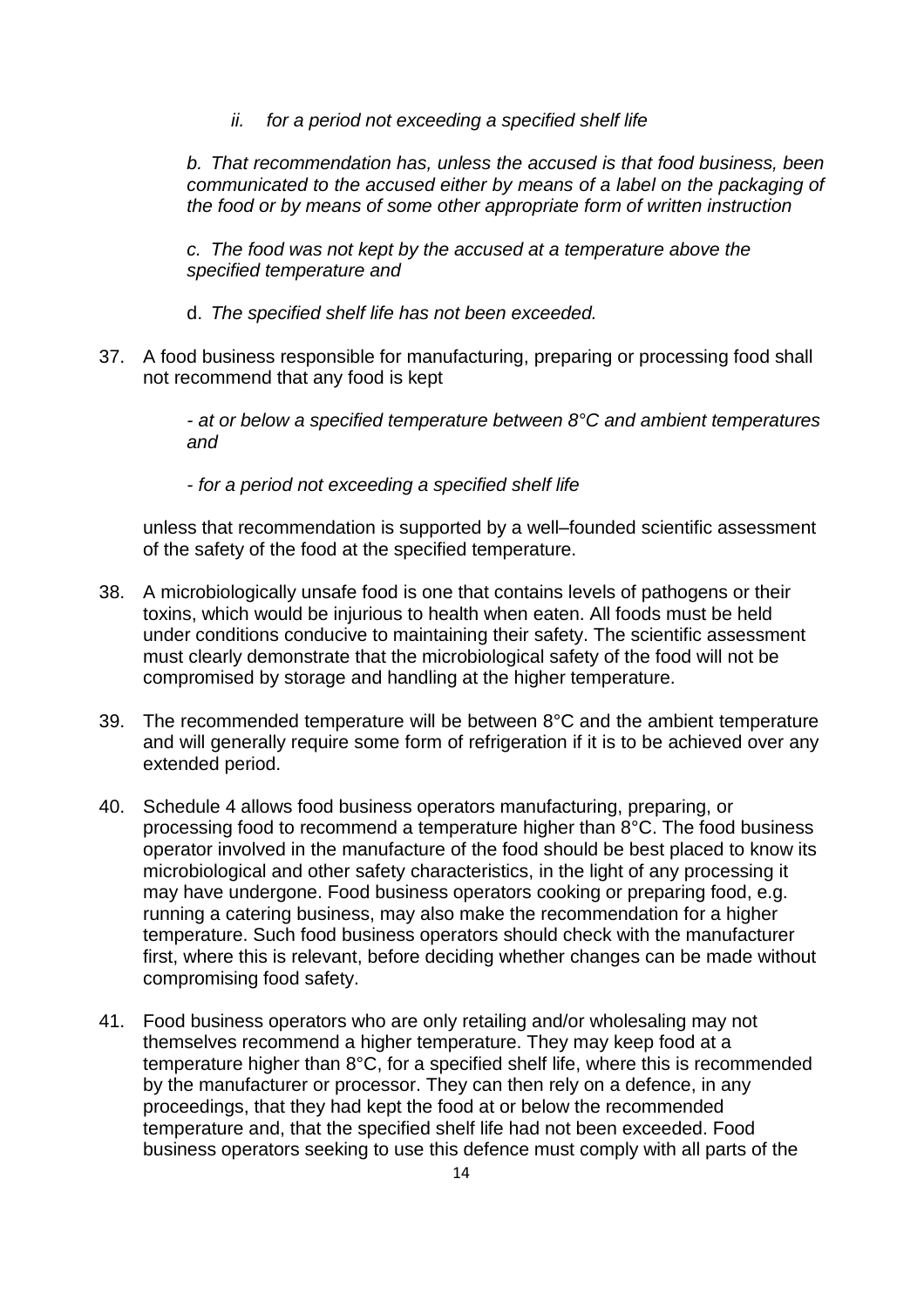*ii. for a period not exceeding a specified shelf life*

*b. That recommendation has, unless the accused is that food business, been communicated to the accused either by means of a label on the packaging of the food or by means of some other appropriate form of written instruction*

*c. The food was not kept by the accused at a temperature above the specified temperature and*

- d. *The specified shelf life has not been exceeded.*
- 37. A food business responsible for manufacturing, preparing or processing food shall not recommend that any food is kept

*- at or below a specified temperature between 8°C and ambient temperatures and*

*- for a period not exceeding a specified shelf life*

unless that recommendation is supported by a well–founded scientific assessment of the safety of the food at the specified temperature.

- 38. A microbiologically unsafe food is one that contains levels of pathogens or their toxins, which would be injurious to health when eaten. All foods must be held under conditions conducive to maintaining their safety. The scientific assessment must clearly demonstrate that the microbiological safety of the food will not be compromised by storage and handling at the higher temperature.
- 39. The recommended temperature will be between 8°C and the ambient temperature and will generally require some form of refrigeration if it is to be achieved over any extended period.
- 40. Schedule 4 allows food business operators manufacturing, preparing, or processing food to recommend a temperature higher than 8°C. The food business operator involved in the manufacture of the food should be best placed to know its microbiological and other safety characteristics, in the light of any processing it may have undergone. Food business operators cooking or preparing food, e.g. running a catering business, may also make the recommendation for a higher temperature. Such food business operators should check with the manufacturer first, where this is relevant, before deciding whether changes can be made without compromising food safety.
- 41. Food business operators who are only retailing and/or wholesaling may not themselves recommend a higher temperature. They may keep food at a temperature higher than 8°C, for a specified shelf life, where this is recommended by the manufacturer or processor. They can then rely on a defence, in any proceedings, that they had kept the food at or below the recommended temperature and, that the specified shelf life had not been exceeded. Food business operators seeking to use this defence must comply with all parts of the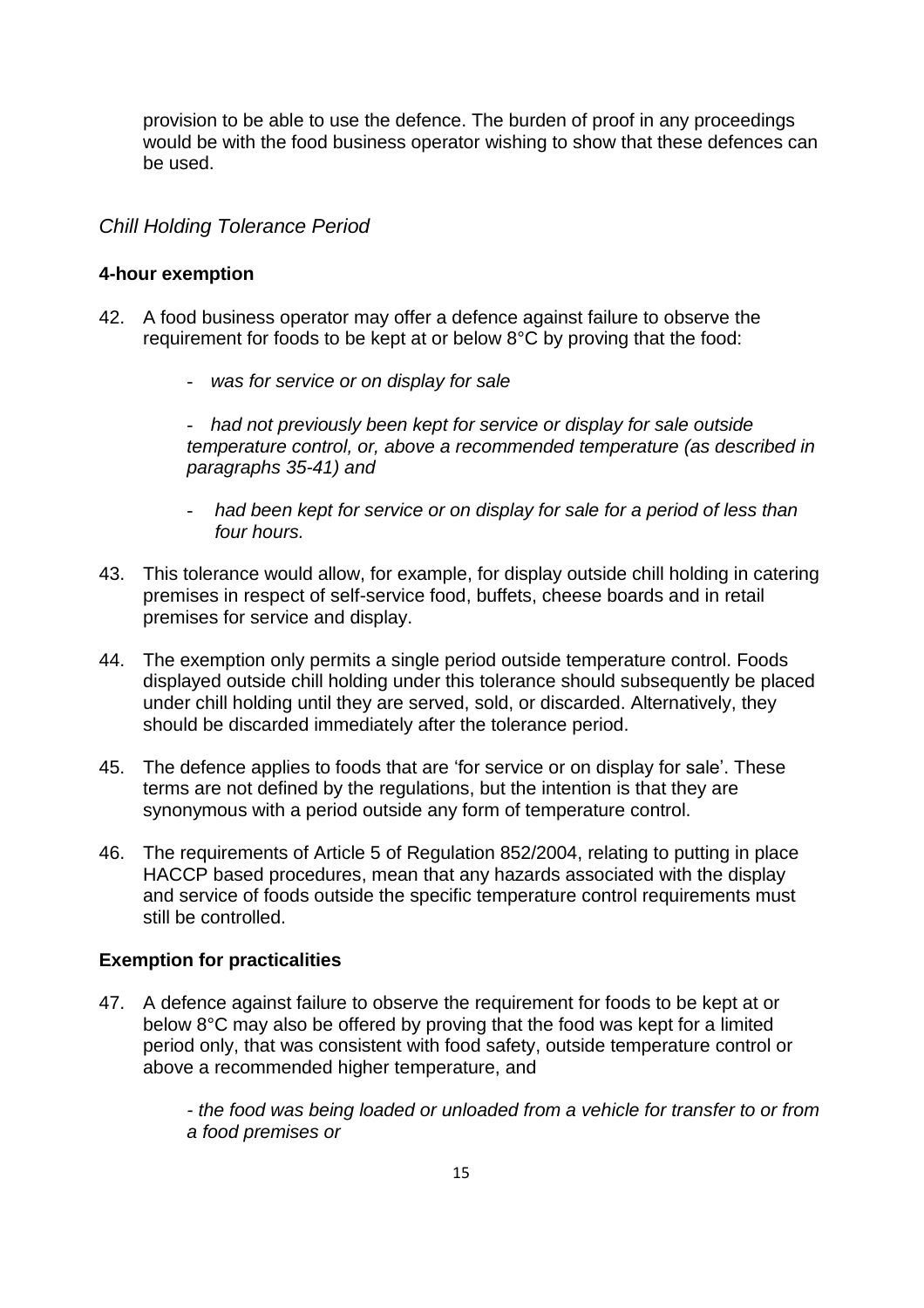provision to be able to use the defence. The burden of proof in any proceedings would be with the food business operator wishing to show that these defences can be used.

## <span id="page-14-0"></span>*Chill Holding Tolerance Period*

#### **4-hour exemption**

- 42. A food business operator may offer a defence against failure to observe the requirement for foods to be kept at or below 8°C by proving that the food:
	- *was for service or on display for sale*

- *had not previously been kept for service or display for sale outside temperature control, or, above a recommended temperature (as described in paragraphs 35-41) and*

- *had been kept for service or on display for sale for a period of less than four hours.*
- 43. This tolerance would allow, for example, for display outside chill holding in catering premises in respect of self-service food, buffets, cheese boards and in retail premises for service and display.
- 44. The exemption only permits a single period outside temperature control. Foods displayed outside chill holding under this tolerance should subsequently be placed under chill holding until they are served, sold, or discarded. Alternatively, they should be discarded immediately after the tolerance period.
- 45. The defence applies to foods that are 'for service or on display for sale'. These terms are not defined by the regulations, but the intention is that they are synonymous with a period outside any form of temperature control.
- 46. The requirements of Article 5 of Regulation 852/2004, relating to putting in place HACCP based procedures, mean that any hazards associated with the display and service of foods outside the specific temperature control requirements must still be controlled.

#### **Exemption for practicalities**

47. A defence against failure to observe the requirement for foods to be kept at or below 8°C may also be offered by proving that the food was kept for a limited period only, that was consistent with food safety, outside temperature control or above a recommended higher temperature, and

> *- the food was being loaded or unloaded from a vehicle for transfer to or from a food premises or*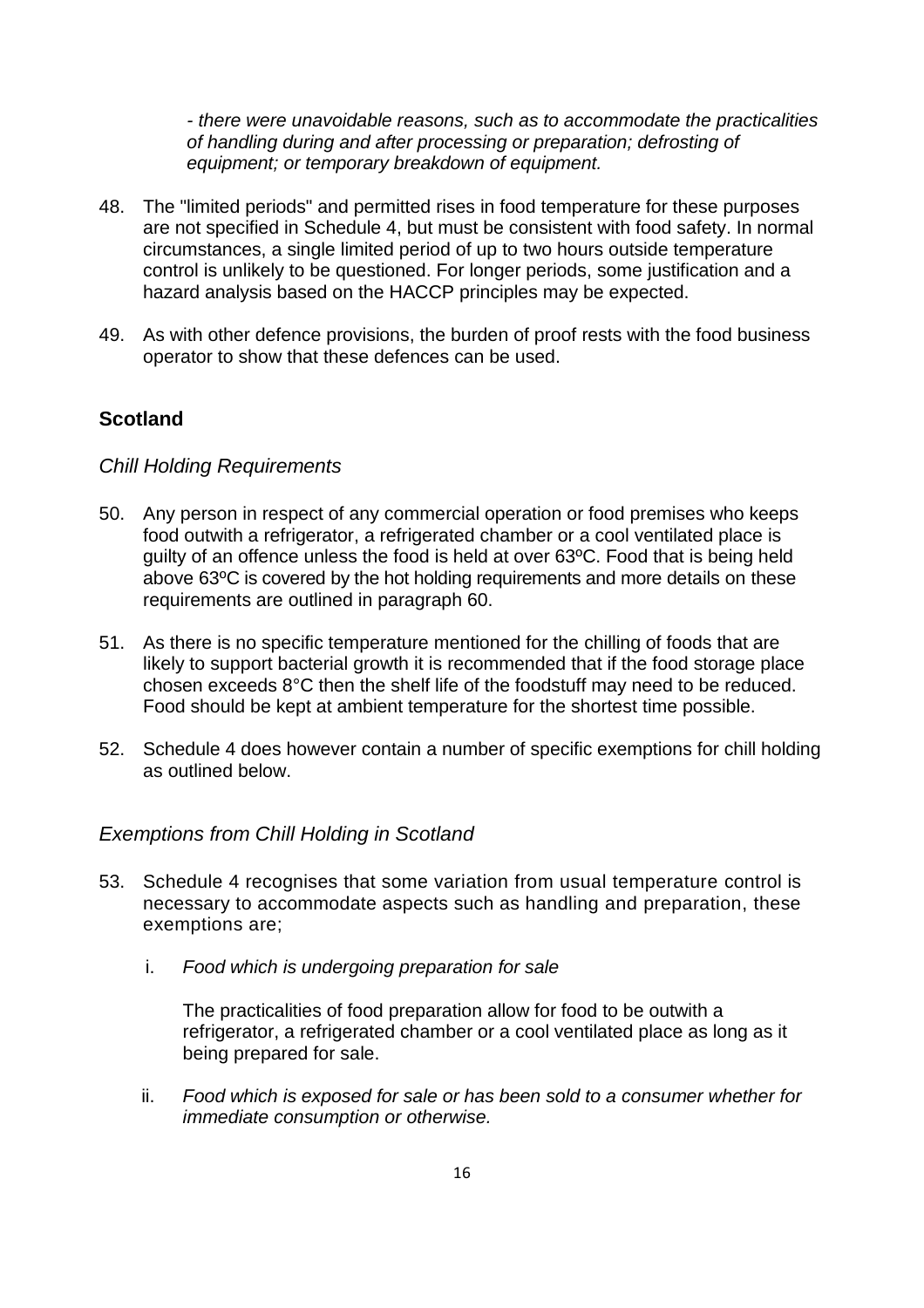*- there were unavoidable reasons, such as to accommodate the practicalities of handling during and after processing or preparation; defrosting of equipment; or temporary breakdown of equipment.*

- 48. The "limited periods" and permitted rises in food temperature for these purposes are not specified in Schedule 4, but must be consistent with food safety. In normal circumstances, a single limited period of up to two hours outside temperature control is unlikely to be questioned. For longer periods, some justification and a hazard analysis based on the HACCP principles may be expected.
- 49. As with other defence provisions, the burden of proof rests with the food business operator to show that these defences can be used.

## <span id="page-15-0"></span>**Scotland**

#### <span id="page-15-1"></span>*Chill Holding Requirements*

- 50. Any person in respect of any commercial operation or food premises who keeps food outwith a refrigerator, a refrigerated chamber or a cool ventilated place is guilty of an offence unless the food is held at over 63ºC. Food that is being held above 63ºC is covered by the hot holding requirements and more details on these requirements are outlined in paragraph 60.
- 51. As there is no specific temperature mentioned for the chilling of foods that are likely to support bacterial growth it is recommended that if the food storage place chosen exceeds 8°C then the shelf life of the foodstuff may need to be reduced. Food should be kept at ambient temperature for the shortest time possible.
- 52. Schedule 4 does however contain a number of specific exemptions for chill holding as outlined below.

#### *Exemptions from Chill Holding in Scotland*

- 53. Schedule 4 recognises that some variation from usual temperature control is necessary to accommodate aspects such as handling and preparation, these exemptions are;
	- i. *Food which is undergoing preparation for sale*

The practicalities of food preparation allow for food to be outwith a refrigerator, a refrigerated chamber or a cool ventilated place as long as it being prepared for sale.

ii. *Food which is exposed for sale or has been sold to a consumer whether for immediate consumption or otherwise.*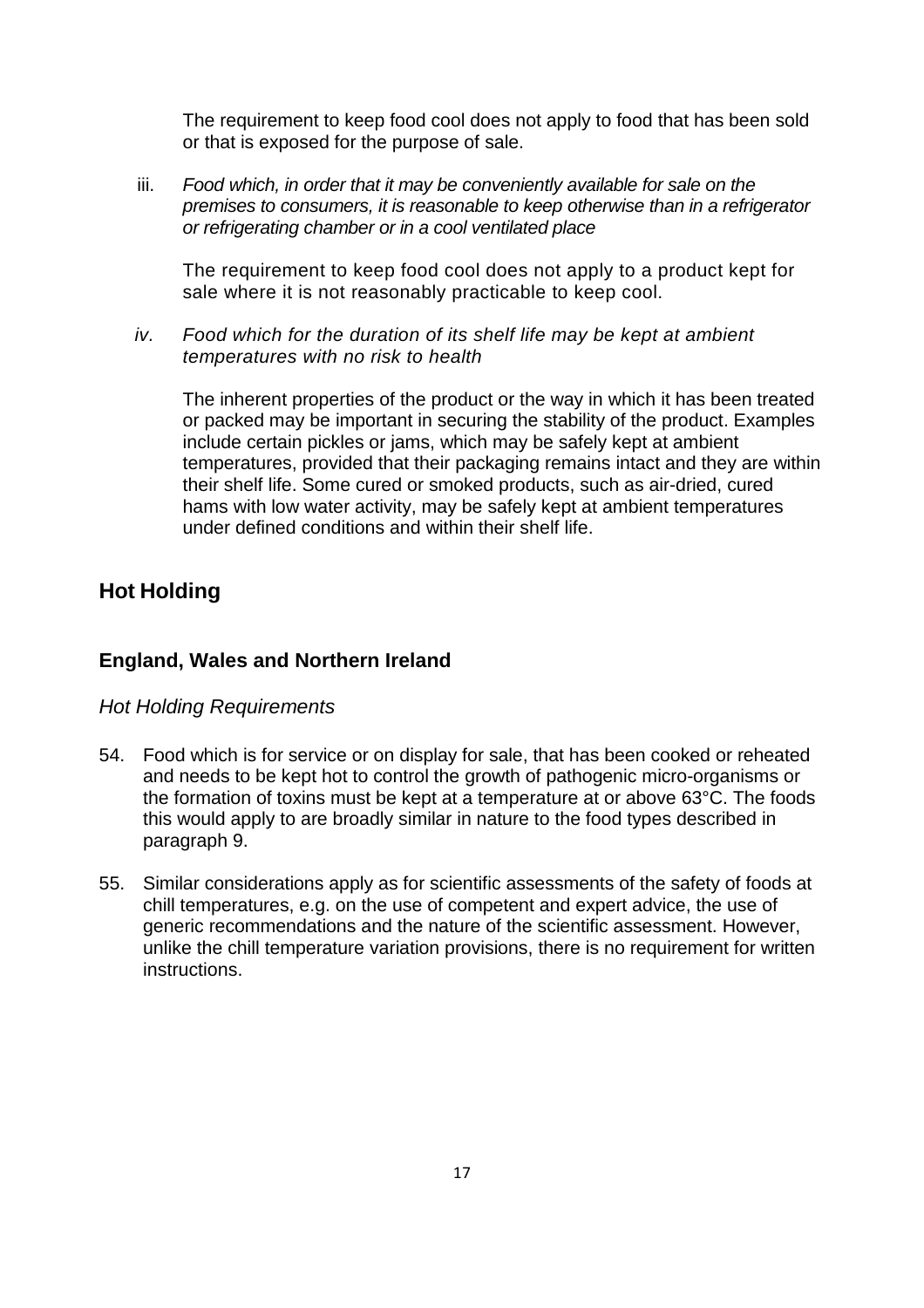The requirement to keep food cool does not apply to food that has been sold or that is exposed for the purpose of sale.

iii. *Food which, in order that it may be conveniently available for sale on the premises to consumers, it is reasonable to keep otherwise than in a refrigerator or refrigerating chamber or in a cool ventilated place*

The requirement to keep food cool does not apply to a product kept for sale where it is not reasonably practicable to keep cool.

*iv. Food which for the duration of its shelf life may be kept at ambient temperatures with no risk to health*

The inherent properties of the product or the way in which it has been treated or packed may be important in securing the stability of the product. Examples include certain pickles or jams, which may be safely kept at ambient temperatures, provided that their packaging remains intact and they are within their shelf life. Some cured or smoked products, such as air-dried, cured hams with low water activity, may be safely kept at ambient temperatures under defined conditions and within their shelf life.

# <span id="page-16-0"></span>**Hot Holding**

## **England, Wales and Northern Ireland**

#### <span id="page-16-1"></span>*Hot Holding Requirements*

- 54. Food which is for service or on display for sale, that has been cooked or reheated and needs to be kept hot to control the growth of pathogenic micro-organisms or the formation of toxins must be kept at a temperature at or above 63°C. The foods this would apply to are broadly similar in nature to the food types described in paragraph 9.
- 55. Similar considerations apply as for scientific assessments of the safety of foods at chill temperatures, e.g. on the use of competent and expert advice, the use of generic recommendations and the nature of the scientific assessment. However, unlike the chill temperature variation provisions, there is no requirement for written instructions.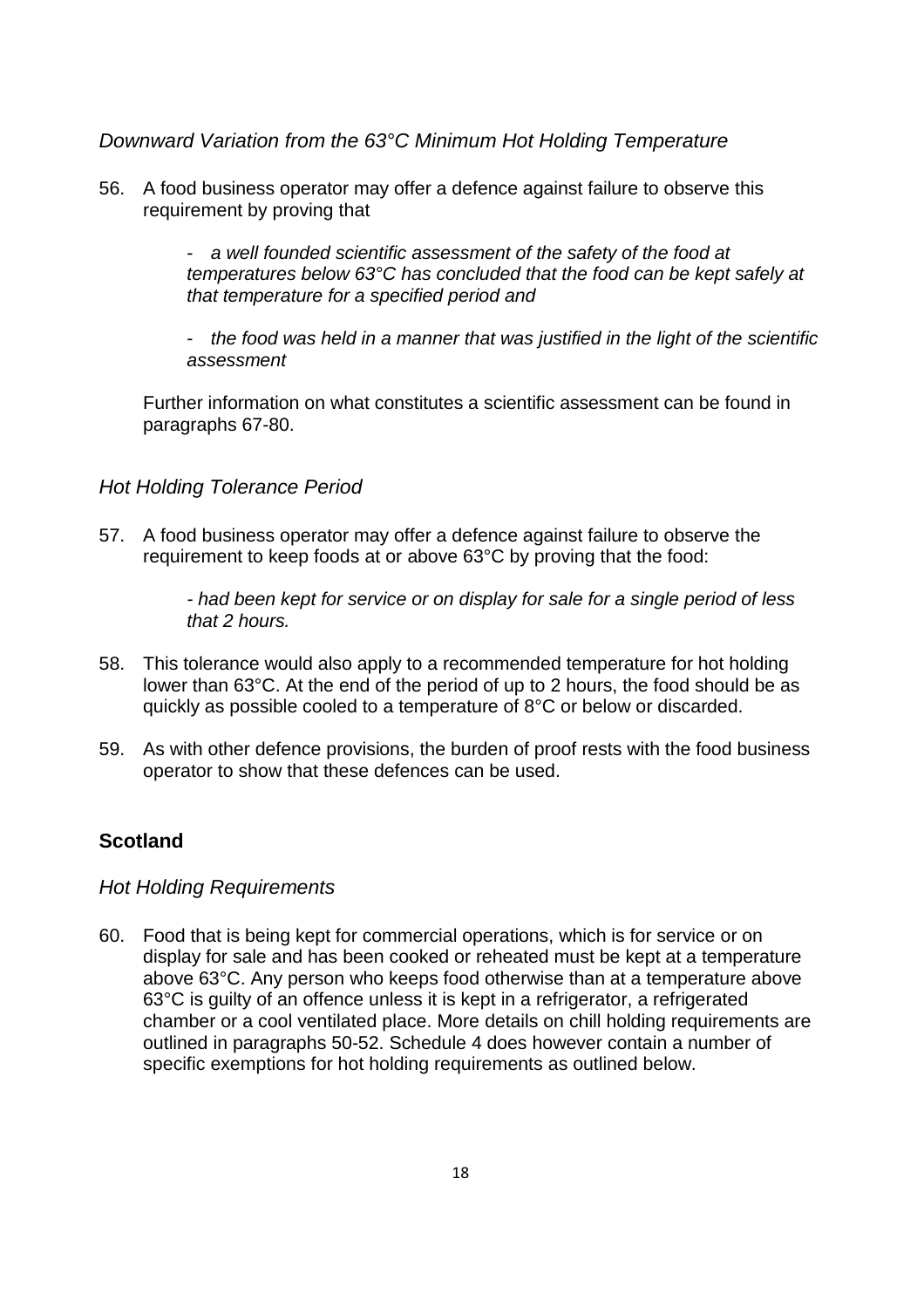<span id="page-17-0"></span>*Downward Variation from the 63°C Minimum Hot Holding Temperature*

56. A food business operator may offer a defence against failure to observe this requirement by proving that

> - *a well founded scientific assessment of the safety of the food at temperatures below 63°C has concluded that the food can be kept safely at that temperature for a specified period and*

- *the food was held in a manner that was justified in the light of the scientific assessment*

Further information on what constitutes a scientific assessment can be found in paragraphs 67-80.

#### <span id="page-17-1"></span>*Hot Holding Tolerance Period*

57. A food business operator may offer a defence against failure to observe the requirement to keep foods at or above 63°C by proving that the food:

> *- had been kept for service or on display for sale for a single period of less that 2 hours.*

- 58. This tolerance would also apply to a recommended temperature for hot holding lower than 63°C. At the end of the period of up to 2 hours, the food should be as quickly as possible cooled to a temperature of 8°C or below or discarded.
- 59. As with other defence provisions, the burden of proof rests with the food business operator to show that these defences can be used.

## <span id="page-17-2"></span>**Scotland**

#### <span id="page-17-3"></span>*Hot Holding Requirements*

60. Food that is being kept for commercial operations, which is for service or on display for sale and has been cooked or reheated must be kept at a temperature above 63°C. Any person who keeps food otherwise than at a temperature above 63°C is guilty of an offence unless it is kept in a refrigerator, a refrigerated chamber or a cool ventilated place. More details on chill holding requirements are outlined in paragraphs 50-52. Schedule 4 does however contain a number of specific exemptions for hot holding requirements as outlined below.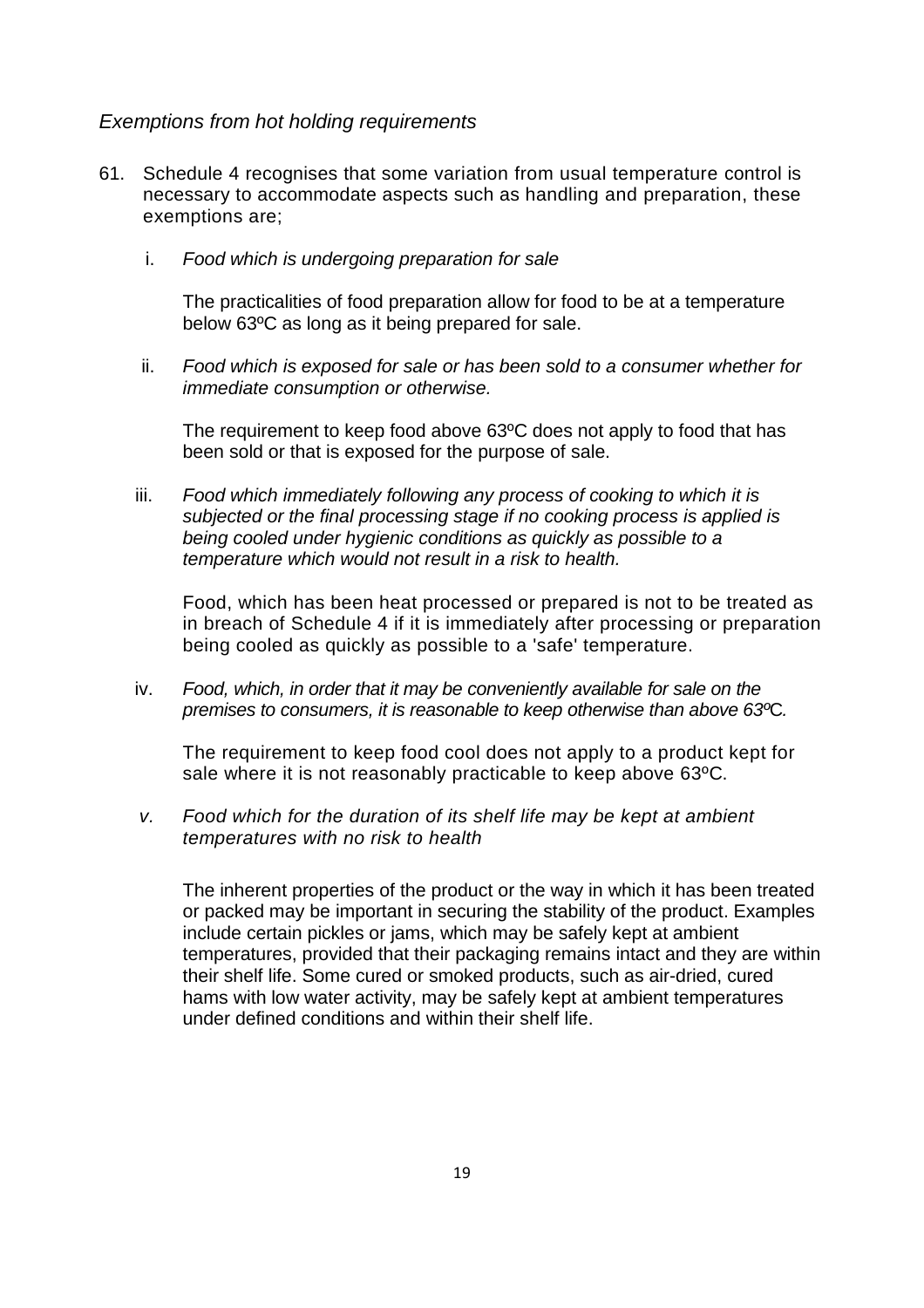#### <span id="page-18-0"></span>*Exemptions from hot holding requirements*

- 61. Schedule 4 recognises that some variation from usual temperature control is necessary to accommodate aspects such as handling and preparation, these exemptions are;
	- i. *Food which is undergoing preparation for sale*

The practicalities of food preparation allow for food to be at a temperature below 63ºC as long as it being prepared for sale.

ii. *Food which is exposed for sale or has been sold to a consumer whether for immediate consumption or otherwise.*

The requirement to keep food above 63ºC does not apply to food that has been sold or that is exposed for the purpose of sale.

iii. *Food which immediately following any process of cooking to which it is subjected or the final processing stage if no cooking process is applied is being cooled under hygienic conditions as quickly as possible to a temperature which would not result in a risk to health.*

Food, which has been heat processed or prepared is not to be treated as in breach of Schedule 4 if it is immediately after processing or preparation being cooled as quickly as possible to a 'safe' temperature.

iv. *Food, which, in order that it may be conveniently available for sale on the premises to consumers, it is reasonable to keep otherwise than above 63º*C*.*

The requirement to keep food cool does not apply to a product kept for sale where it is not reasonably practicable to keep above 63ºC.

*v. Food which for the duration of its shelf life may be kept at ambient temperatures with no risk to health*

The inherent properties of the product or the way in which it has been treated or packed may be important in securing the stability of the product. Examples include certain pickles or jams, which may be safely kept at ambient temperatures, provided that their packaging remains intact and they are within their shelf life. Some cured or smoked products, such as air-dried, cured hams with low water activity, may be safely kept at ambient temperatures under defined conditions and within their shelf life.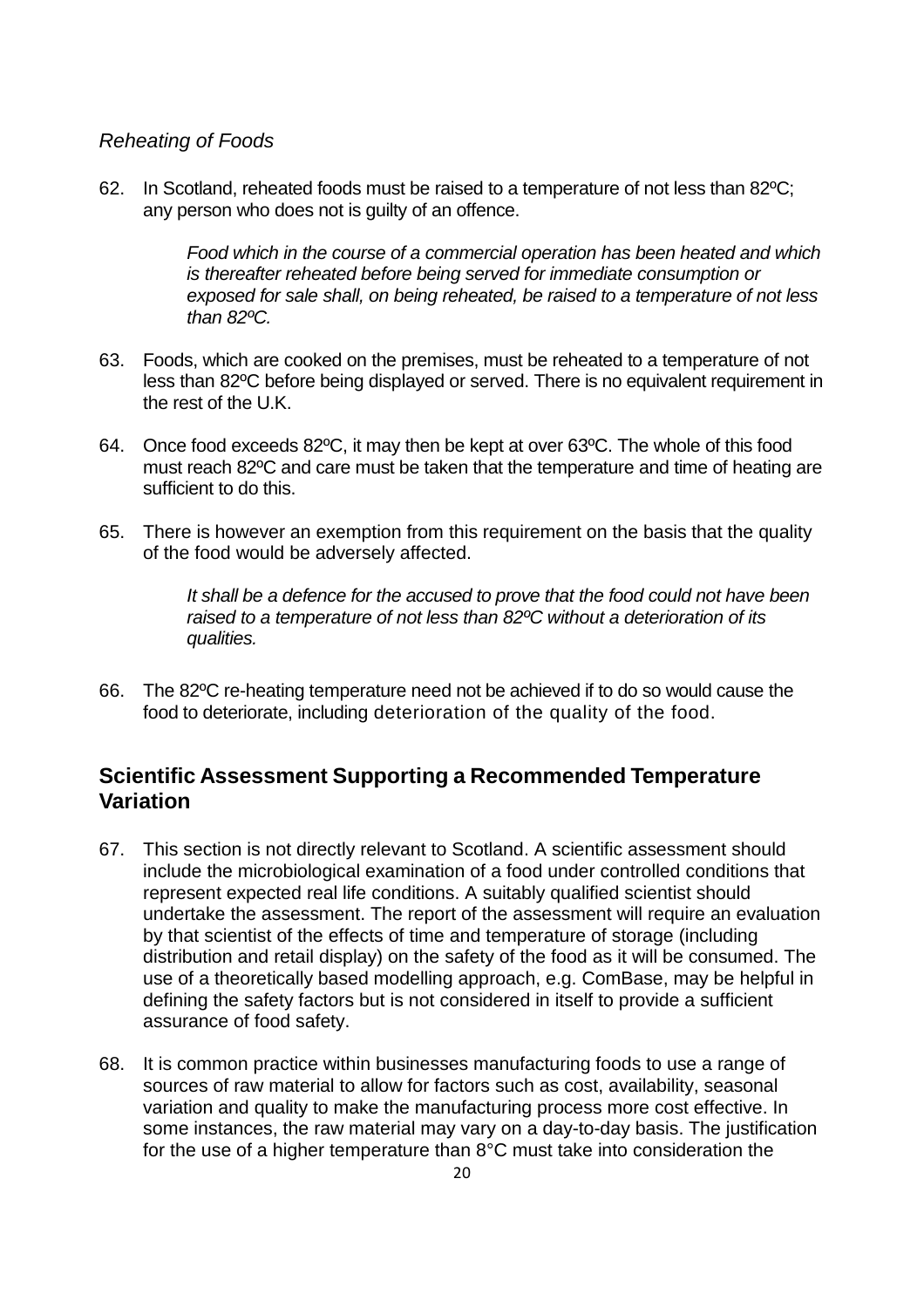## <span id="page-19-0"></span>*Reheating of Foods*

62. In Scotland, reheated foods must be raised to a temperature of not less than 82ºC; any person who does not is guilty of an offence.

> *Food which in the course of a commercial operation has been heated and which is thereafter reheated before being served for immediate consumption or exposed for sale shall, on being reheated, be raised to a temperature of not less than 82ºC.*

- 63. Foods, which are cooked on the premises, must be reheated to a temperature of not less than 82ºC before being displayed or served. There is no equivalent requirement in the rest of the U.K.
- 64. Once food exceeds 82ºC, it may then be kept at over 63ºC. The whole of this food must reach 82ºC and care must be taken that the temperature and time of heating are sufficient to do this.
- 65. There is however an exemption from this requirement on the basis that the quality of the food would be adversely affected.

*It shall be a defence for the accused to prove that the food could not have been raised to a temperature of not less than 82ºC without a deterioration of its qualities.*

66. The 82ºC re-heating temperature need not be achieved if to do so would cause the food to deteriorate, including deterioration of the quality of the food.

# **Scientific Assessment Supporting a Recommended Temperature Variation**

- 67. This section is not directly relevant to Scotland. A scientific assessment should include the microbiological examination of a food under controlled conditions that represent expected real life conditions. A suitably qualified scientist should undertake the assessment. The report of the assessment will require an evaluation by that scientist of the effects of time and temperature of storage (including distribution and retail display) on the safety of the food as it will be consumed. The use of a theoretically based modelling approach, e.g. ComBase, may be helpful in defining the safety factors but is not considered in itself to provide a sufficient assurance of food safety.
- 68. It is common practice within businesses manufacturing foods to use a range of sources of raw material to allow for factors such as cost, availability, seasonal variation and quality to make the manufacturing process more cost effective. In some instances, the raw material may vary on a day-to-day basis. The justification for the use of a higher temperature than 8°C must take into consideration the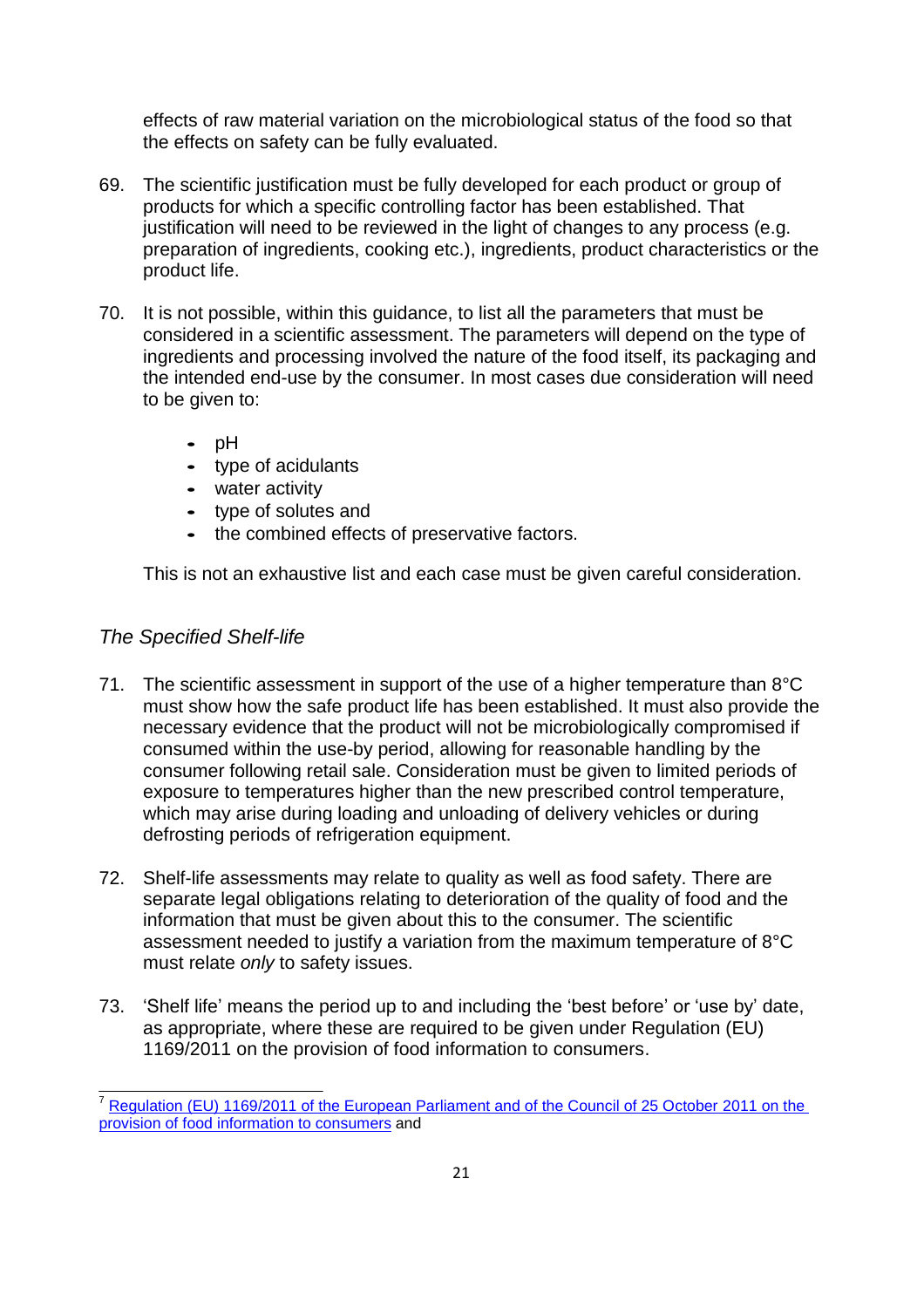effects of raw material variation on the microbiological status of the food so that the effects on safety can be fully evaluated.

- 69. The scientific justification must be fully developed for each product or group of products for which a specific controlling factor has been established. That justification will need to be reviewed in the light of changes to any process (e.g. preparation of ingredients, cooking etc.), ingredients, product characteristics or the product life.
- 70. It is not possible, within this guidance, to list all the parameters that must be considered in a scientific assessment. The parameters will depend on the type of ingredients and processing involved the nature of the food itself, its packaging and the intended end-use by the consumer. In most cases due consideration will need to be given to:
	- **•** pH
	- **•** type of acidulants
	- **•** water activity
	- **•** type of solutes and
	- **•** the combined effects of preservative factors.

This is not an exhaustive list and each case must be given careful consideration.

## *The Specified Shelf-life*

- 71. The scientific assessment in support of the use of a higher temperature than 8°C must show how the safe product life has been established. It must also provide the necessary evidence that the product will not be microbiologically compromised if consumed within the use-by period, allowing for reasonable handling by the consumer following retail sale. Consideration must be given to limited periods of exposure to temperatures higher than the new prescribed control temperature, which may arise during loading and unloading of delivery vehicles or during defrosting periods of refrigeration equipment.
- 72. Shelf-life assessments may relate to quality as well as food safety. There are separate legal obligations relating to deterioration of the quality of food and the information that must be given about this to the consumer. The scientific assessment needed to justify a variation from the maximum temperature of 8°C must relate *only* to safety issues.
- 73. 'Shelf life' means the period up to and including the 'best before' or 'use by' date, as appropriate, where these are required to be given under Regulation (EU) 1169/2011 on the provision of food information to consumers.

[Regulation \(EU\) 1169/2011 of the European Parliament and of the Council of 25 October 2011](file:///C:/Users/DGraz/AppData/Local/Microsoft/Windows/Temporary%20Internet%20Files/Content.Outlook/3EDYM50K/Best%20before%20or%20use%20by%20date%20%201169%20-%202011.pdf) on the [provision of food information to consumers](file:///C:/Users/DGraz/AppData/Local/Microsoft/Windows/Temporary%20Internet%20Files/Content.Outlook/3EDYM50K/Best%20before%20or%20use%20by%20date%20%201169%20-%202011.pdf) and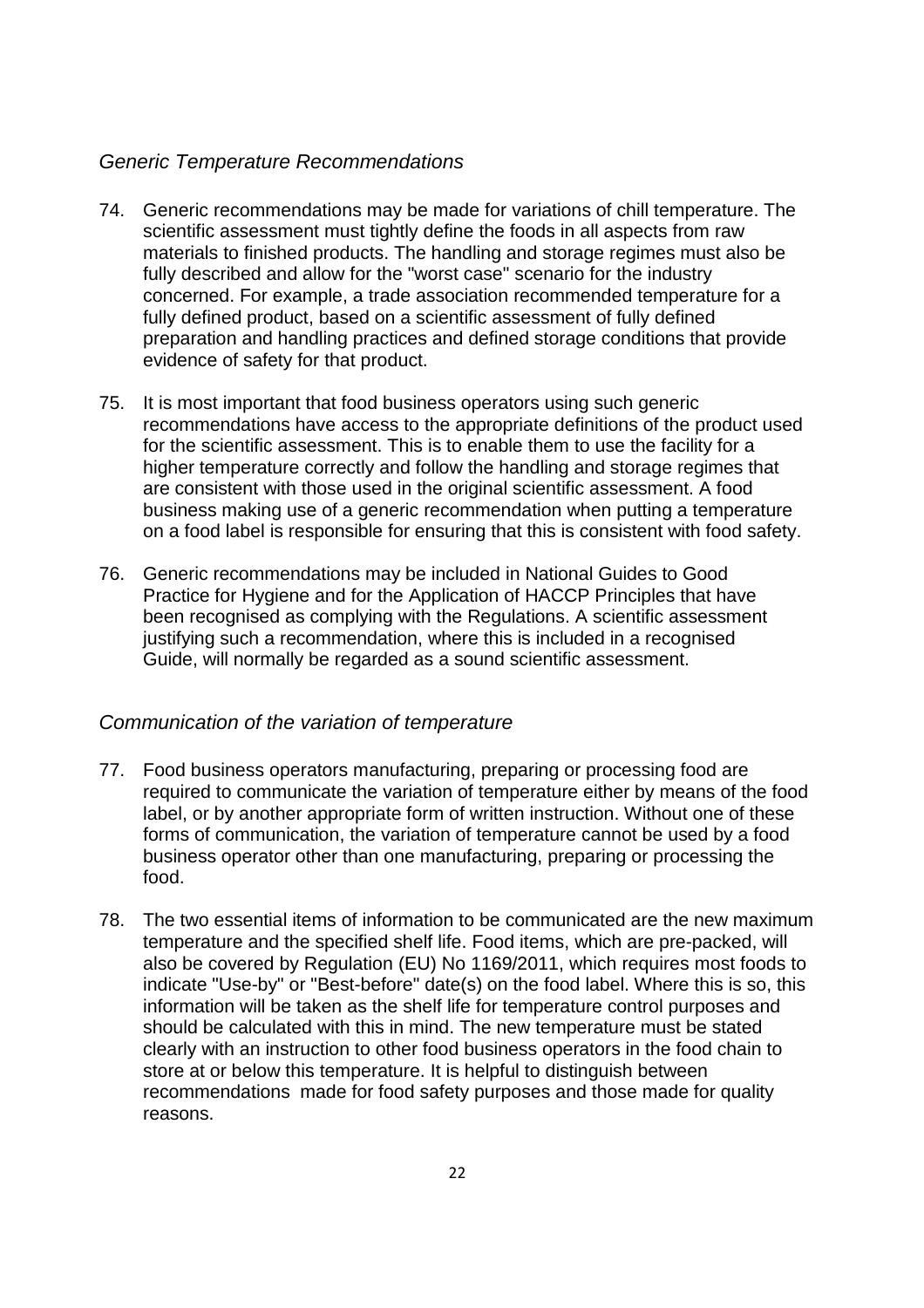#### *Generic Temperature Recommendations*

- 74. Generic recommendations may be made for variations of chill temperature. The scientific assessment must tightly define the foods in all aspects from raw materials to finished products. The handling and storage regimes must also be fully described and allow for the "worst case" scenario for the industry concerned. For example, a trade association recommended temperature for a fully defined product, based on a scientific assessment of fully defined preparation and handling practices and defined storage conditions that provide evidence of safety for that product.
- 75. It is most important that food business operators using such generic recommendations have access to the appropriate definitions of the product used for the scientific assessment. This is to enable them to use the facility for a higher temperature correctly and follow the handling and storage regimes that are consistent with those used in the original scientific assessment. A food business making use of a generic recommendation when putting a temperature on a food label is responsible for ensuring that this is consistent with food safety.
- 76. Generic recommendations may be included in National Guides to Good Practice for Hygiene and for the Application of HACCP Principles that have been recognised as complying with the Regulations. A scientific assessment justifying such a recommendation, where this is included in a recognised Guide, will normally be regarded as a sound scientific assessment.

#### *Communication of the variation of temperature*

- 77. Food business operators manufacturing, preparing or processing food are required to communicate the variation of temperature either by means of the food label, or by another appropriate form of written instruction. Without one of these forms of communication, the variation of temperature cannot be used by a food business operator other than one manufacturing, preparing or processing the food.
- 78. The two essential items of information to be communicated are the new maximum temperature and the specified shelf life. Food items, which are pre-packed, will also be covered by Regulation (EU) No 1169/2011, which requires most foods to indicate "Use-by" or "Best-before" date(s) on the food label. Where this is so, this information will be taken as the shelf life for temperature control purposes and should be calculated with this in mind. The new temperature must be stated clearly with an instruction to other food business operators in the food chain to store at or below this temperature. It is helpful to distinguish between recommendations made for food safety purposes and those made for quality reasons.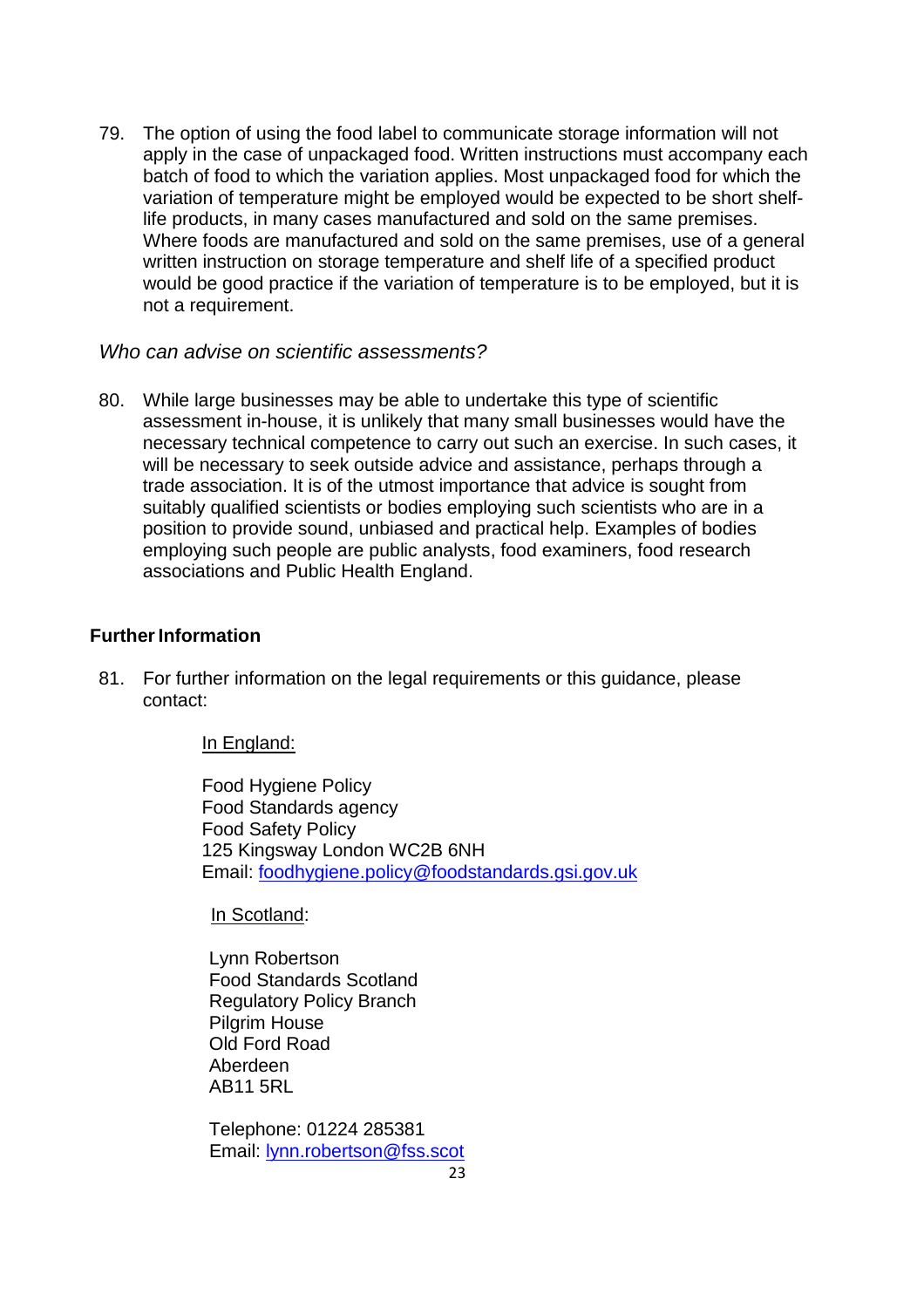79. The option of using the food label to communicate storage information will not apply in the case of unpackaged food. Written instructions must accompany each batch of food to which the variation applies. Most unpackaged food for which the variation of temperature might be employed would be expected to be short shelflife products, in many cases manufactured and sold on the same premises. Where foods are manufactured and sold on the same premises, use of a general written instruction on storage temperature and shelf life of a specified product would be good practice if the variation of temperature is to be employed, but it is not a requirement.

#### *Who can advise on scientific assessments?*

80. While large businesses may be able to undertake this type of scientific assessment in-house, it is unlikely that many small businesses would have the necessary technical competence to carry out such an exercise. In such cases, it will be necessary to seek outside advice and assistance, perhaps through a trade association. It is of the utmost importance that advice is sought from suitably qualified scientists or bodies employing such scientists who are in a position to provide sound, unbiased and practical help. Examples of bodies employing such people are public analysts, food examiners, food research associations and Public Health England.

## **Further Information**

81. For further information on the legal requirements or this guidance, please contact:

#### In England:

Food Hygiene Policy Food Standards agency Food Safety Policy 125 Kingsway London WC2B 6NH Email: [foodhygiene.policy@foodstandards.gsi.gov.uk](mailto:foodhygiene.policy@foodstandards.gsi.gov.uk)

In Scotland:

Lynn Robertson Food Standards Scotland Regulatory Policy Branch Pilgrim House Old Ford Road Aberdeen AB11 5RL

Telephone: 01224 285381 Email: [lynn.robertson@fss.scot](mailto:lynn.robertson@fss.scot)